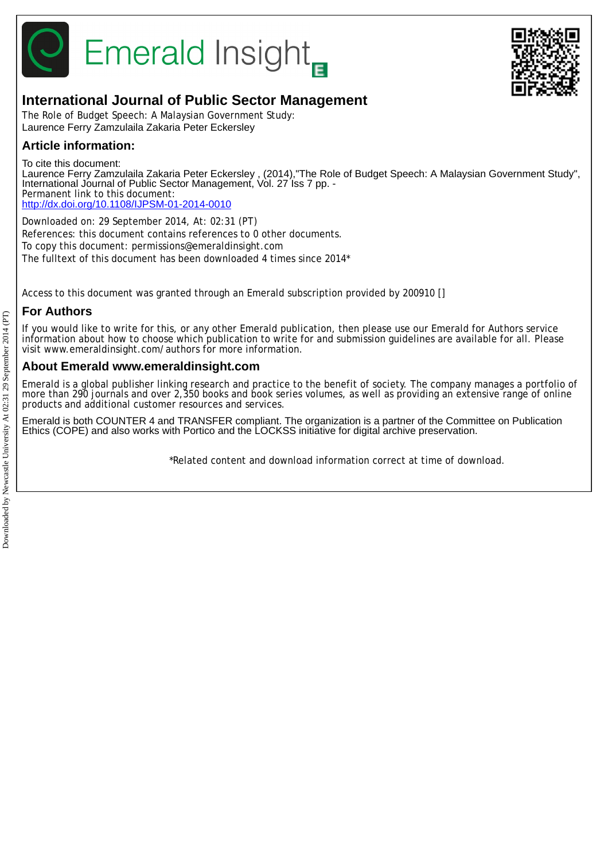

# **Emerald Insight**



## **International Journal of Public Sector Management**

The Role of Budget Speech: A Malaysian Government Study: Laurence Ferry Zamzulaila Zakaria Peter Eckersley

## **Article information:**

To cite this document:

Laurence Ferry Zamzulaila Zakaria Peter Eckersley , (2014),"The Role of Budget Speech: A Malaysian Government Study", International Journal of Public Sector Management, Vol. 27 Iss 7 pp. -Permanent link to this document: <http://dx.doi.org/10.1108/IJPSM-01-2014-0010>

Downloaded on: 29 September 2014, At: 02:31 (PT) References: this document contains references to 0 other documents. To copy this document: permissions@emeraldinsight.com The fulltext of this document has been downloaded 4 times since 2014\*

Access to this document was granted through an Emerald subscription provided by 200910 []

## **For Authors**

If you would like to write for this, or any other Emerald publication, then please use our Emerald for Authors service information about how to choose which publication to write for and submission guidelines are available for all. Please visit www.emeraldinsight.com/authors for more information.

## **About Emerald www.emeraldinsight.com**

Emerald is a global publisher linking research and practice to the benefit of society. The company manages a portfolio of more than 290 journals and over 2,350 books and book series volumes, as well as providing an extensive range of online products and additional customer resources and services.

Emerald is both COUNTER 4 and TRANSFER compliant. The organization is a partner of the Committee on Publication Ethics (COPE) and also works with Portico and the LOCKSS initiative for digital archive preservation.

\*Related content and download information correct at time of download.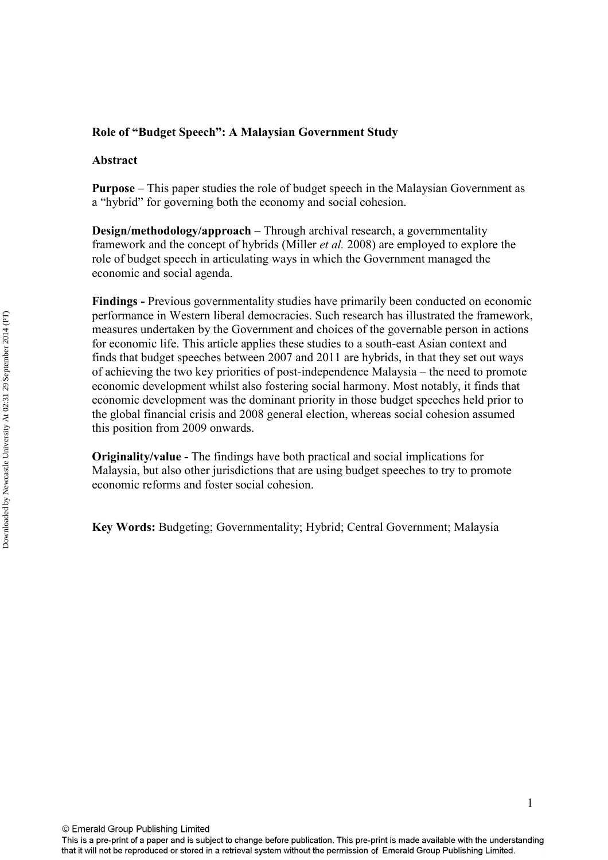### **Role of "Budget Speech": A Malaysian Government Study**

#### **Abstract**

**Purpose** – This paper studies the role of budget speech in the Malaysian Government as a "hybrid" for governing both the economy and social cohesion.

**Design/methodology/approach –** Through archival research, a governmentality framework and the concept of hybrids (Miller *et al.* 2008) are employed to explore the role of budget speech in articulating ways in which the Government managed the economic and social agenda.

**Findings -** Previous governmentality studies have primarily been conducted on economic performance in Western liberal democracies. Such research has illustrated the framework, measures undertaken by the Government and choices of the governable person in actions for economic life. This article applies these studies to a south-east Asian context and finds that budget speeches between 2007 and 2011 are hybrids, in that they set out ways of achieving the two key priorities of post-independence Malaysia – the need to promote economic development whilst also fostering social harmony. Most notably, it finds that economic development was the dominant priority in those budget speeches held prior to the global financial crisis and 2008 general election, whereas social cohesion assumed this position from 2009 onwards.

**Originality/value -** The findings have both practical and social implications for Malaysia, but also other jurisdictions that are using budget speeches to try to promote economic reforms and foster social cohesion.

**Key Words:** Budgeting; Governmentality; Hybrid; Central Government; Malaysia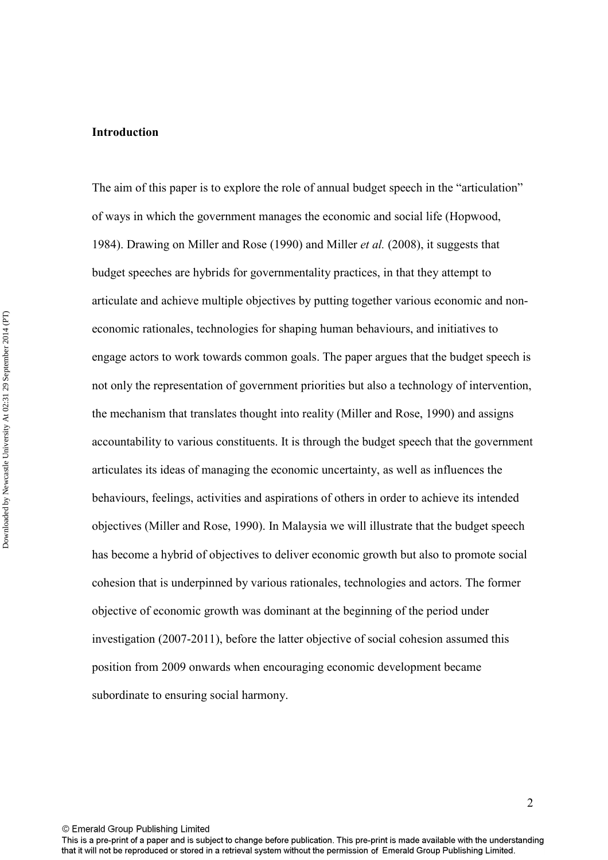#### **Introduction**

The aim of this paper is to explore the role of annual budget speech in the "articulation" of ways in which the government manages the economic and social life (Hopwood, 1984). Drawing on Miller and Rose (1990) and Miller *et al.* (2008), it suggests that budget speeches are hybrids for governmentality practices, in that they attempt to articulate and achieve multiple objectives by putting together various economic and noneconomic rationales, technologies for shaping human behaviours, and initiatives to engage actors to work towards common goals. The paper argues that the budget speech is not only the representation of government priorities but also a technology of intervention, the mechanism that translates thought into reality (Miller and Rose, 1990) and assigns accountability to various constituents. It is through the budget speech that the government articulates its ideas of managing the economic uncertainty, as well as influences the behaviours, feelings, activities and aspirations of others in order to achieve its intended objectives (Miller and Rose, 1990). In Malaysia we will illustrate that the budget speech has become a hybrid of objectives to deliver economic growth but also to promote social cohesion that is underpinned by various rationales, technologies and actors. The former objective of economic growth was dominant at the beginning of the period under investigation (2007-2011), before the latter objective of social cohesion assumed this position from 2009 onwards when encouraging economic development became subordinate to ensuring social harmony.

© Emerald Group Publishing Limited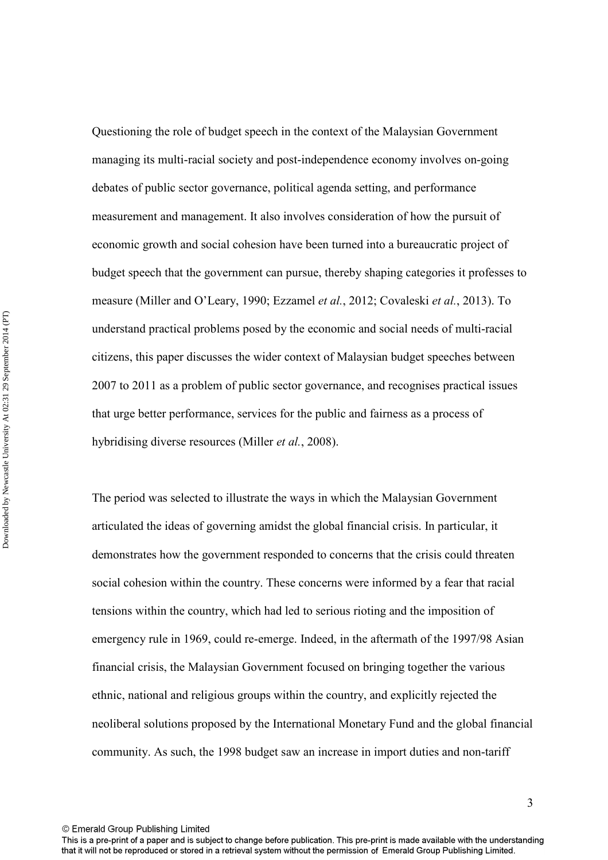Questioning the role of budget speech in the context of the Malaysian Government managing its multi-racial society and post-independence economy involves on-going debates of public sector governance, political agenda setting, and performance measurement and management. It also involves consideration of how the pursuit of economic growth and social cohesion have been turned into a bureaucratic project of budget speech that the government can pursue, thereby shaping categories it professes to measure (Miller and O'Leary, 1990; Ezzamel *et al.*, 2012; Covaleski *et al.*, 2013). To understand practical problems posed by the economic and social needs of multi-racial citizens, this paper discusses the wider context of Malaysian budget speeches between 2007 to 2011 as a problem of public sector governance, and recognises practical issues that urge better performance, services for the public and fairness as a process of hybridising diverse resources (Miller *et al.*, 2008).

The period was selected to illustrate the ways in which the Malaysian Government articulated the ideas of governing amidst the global financial crisis. In particular, it demonstrates how the government responded to concerns that the crisis could threaten social cohesion within the country. These concerns were informed by a fear that racial tensions within the country, which had led to serious rioting and the imposition of emergency rule in 1969, could re-emerge. Indeed, in the aftermath of the 1997/98 Asian financial crisis, the Malaysian Government focused on bringing together the various ethnic, national and religious groups within the country, and explicitly rejected the neoliberal solutions proposed by the International Monetary Fund and the global financial community. As such, the 1998 budget saw an increase in import duties and non-tariff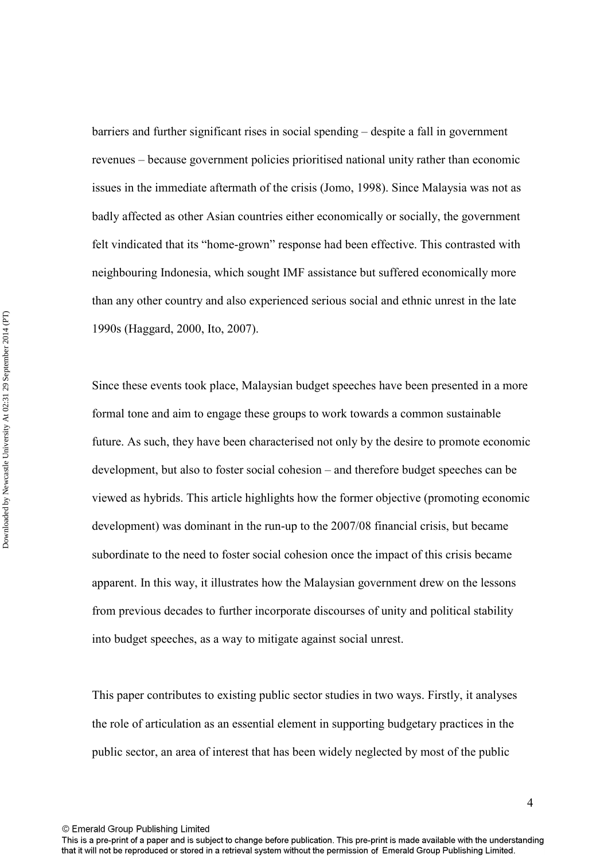barriers and further significant rises in social spending – despite a fall in government revenues – because government policies prioritised national unity rather than economic issues in the immediate aftermath of the crisis (Jomo, 1998). Since Malaysia was not as badly affected as other Asian countries either economically or socially, the government felt vindicated that its "home-grown" response had been effective. This contrasted with neighbouring Indonesia, which sought IMF assistance but suffered economically more than any other country and also experienced serious social and ethnic unrest in the late 1990s (Haggard, 2000, Ito, 2007).

Since these events took place, Malaysian budget speeches have been presented in a more formal tone and aim to engage these groups to work towards a common sustainable future. As such, they have been characterised not only by the desire to promote economic development, but also to foster social cohesion – and therefore budget speeches can be viewed as hybrids. This article highlights how the former objective (promoting economic development) was dominant in the run-up to the 2007/08 financial crisis, but became subordinate to the need to foster social cohesion once the impact of this crisis became apparent. In this way, it illustrates how the Malaysian government drew on the lessons from previous decades to further incorporate discourses of unity and political stability into budget speeches, as a way to mitigate against social unrest.

This paper contributes to existing public sector studies in two ways. Firstly, it analyses the role of articulation as an essential element in supporting budgetary practices in the public sector, an area of interest that has been widely neglected by most of the public

This is a pre-print of a paper and is subject to change before publication. This pre-print is made available with the understanding that it will not be reproduced or stored in a retrieval system without the permission of Emerald Group Publishing Limited.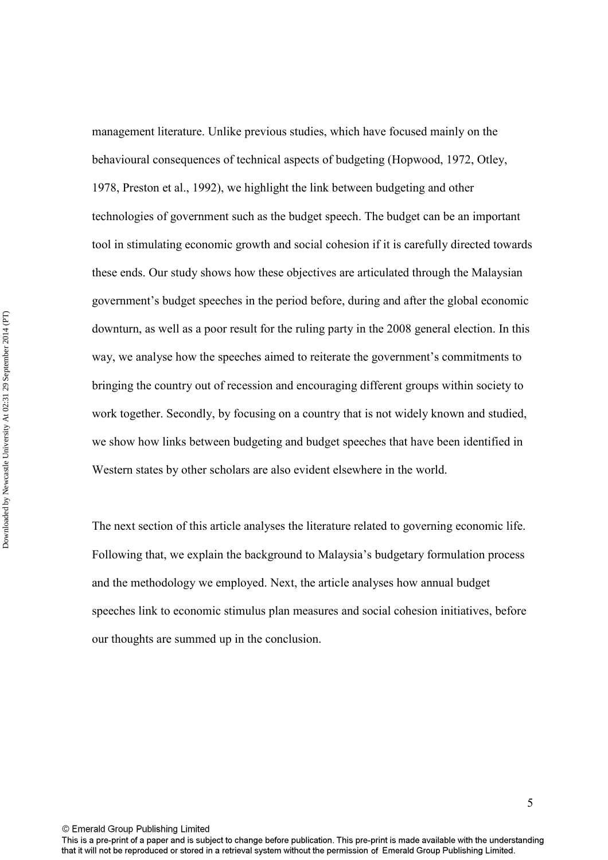management literature. Unlike previous studies, which have focused mainly on the behavioural consequences of technical aspects of budgeting (Hopwood, 1972, Otley, 1978, Preston et al., 1992), we highlight the link between budgeting and other technologies of government such as the budget speech. The budget can be an important tool in stimulating economic growth and social cohesion if it is carefully directed towards these ends. Our study shows how these objectives are articulated through the Malaysian government's budget speeches in the period before, during and after the global economic downturn, as well as a poor result for the ruling party in the 2008 general election. In this way, we analyse how the speeches aimed to reiterate the government's commitments to bringing the country out of recession and encouraging different groups within society to work together. Secondly, by focusing on a country that is not widely known and studied, we show how links between budgeting and budget speeches that have been identified in Western states by other scholars are also evident elsewhere in the world.

The next section of this article analyses the literature related to governing economic life. Following that, we explain the background to Malaysia's budgetary formulation process and the methodology we employed. Next, the article analyses how annual budget speeches link to economic stimulus plan measures and social cohesion initiatives, before our thoughts are summed up in the conclusion.

© Emerald Group Publishing Limited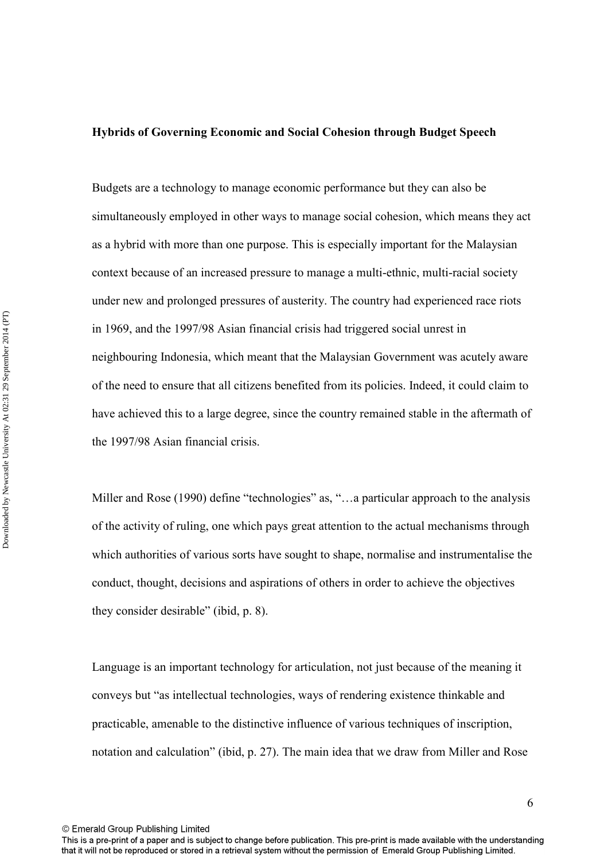## **Hybrids of Governing Economic and Social Cohesion through Budget Speech**

Budgets are a technology to manage economic performance but they can also be simultaneously employed in other ways to manage social cohesion, which means they act as a hybrid with more than one purpose. This is especially important for the Malaysian context because of an increased pressure to manage a multi-ethnic, multi-racial society under new and prolonged pressures of austerity. The country had experienced race riots in 1969, and the 1997/98 Asian financial crisis had triggered social unrest in neighbouring Indonesia, which meant that the Malaysian Government was acutely aware of the need to ensure that all citizens benefited from its policies. Indeed, it could claim to have achieved this to a large degree, since the country remained stable in the aftermath of the 1997/98 Asian financial crisis.

Miller and Rose (1990) define "technologies" as, "...a particular approach to the analysis of the activity of ruling, one which pays great attention to the actual mechanisms through which authorities of various sorts have sought to shape, normalise and instrumentalise the conduct, thought, decisions and aspirations of others in order to achieve the objectives they consider desirable" (ibid, p. 8).

Language is an important technology for articulation, not just because of the meaning it conveys but "as intellectual technologies, ways of rendering existence thinkable and practicable, amenable to the distinctive influence of various techniques of inscription, notation and calculation" (ibid, p. 27). The main idea that we draw from Miller and Rose

© Emerald Group Publishing Limited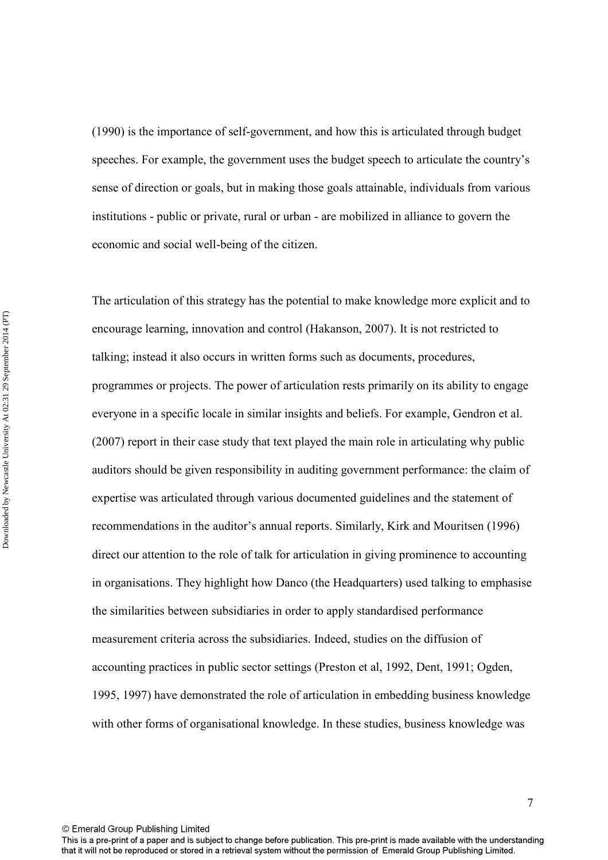(1990) is the importance of self-government, and how this is articulated through budget speeches. For example, the government uses the budget speech to articulate the country's sense of direction or goals, but in making those goals attainable, individuals from various institutions - public or private, rural or urban - are mobilized in alliance to govern the economic and social well-being of the citizen.

The articulation of this strategy has the potential to make knowledge more explicit and to encourage learning, innovation and control (Hakanson, 2007). It is not restricted to talking; instead it also occurs in written forms such as documents, procedures, programmes or projects. The power of articulation rests primarily on its ability to engage everyone in a specific locale in similar insights and beliefs. For example, Gendron et al. (2007) report in their case study that text played the main role in articulating why public auditors should be given responsibility in auditing government performance: the claim of expertise was articulated through various documented guidelines and the statement of recommendations in the auditor's annual reports. Similarly, Kirk and Mouritsen (1996) direct our attention to the role of talk for articulation in giving prominence to accounting in organisations. They highlight how Danco (the Headquarters) used talking to emphasise the similarities between subsidiaries in order to apply standardised performance measurement criteria across the subsidiaries. Indeed, studies on the diffusion of accounting practices in public sector settings (Preston et al, 1992, Dent, 1991; Ogden, 1995, 1997) have demonstrated the role of articulation in embedding business knowledge with other forms of organisational knowledge. In these studies, business knowledge was

This is a pre-print of a paper and is subject to change before publication. This pre-print is made available with the understanding that it will not be reproduced or stored in a retrieval system without the permission of Emerald Group Publishing Limited.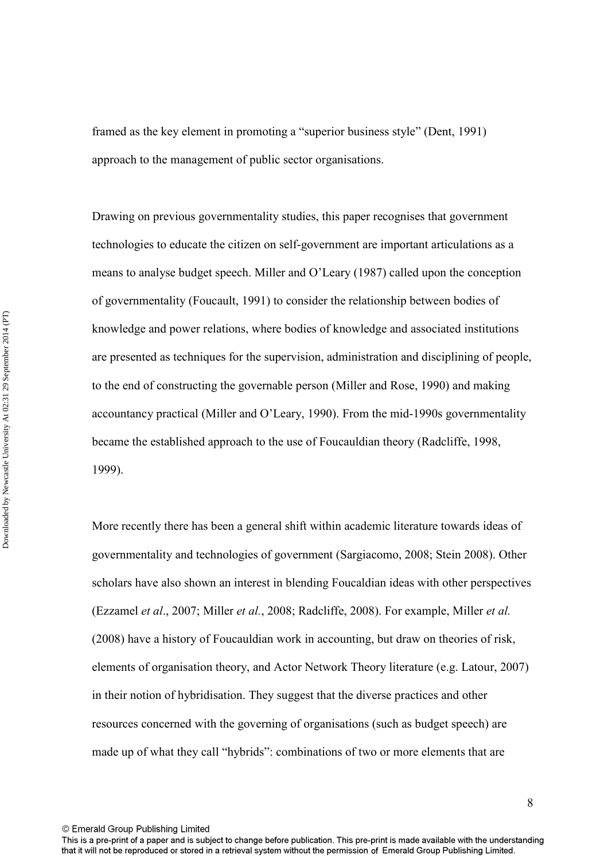framed as the key element in promoting a "superior business style" (Dent, 1991) approach to the management of public sector organisations.

Drawing on previous governmentality studies, this paper recognises that government technologies to educate the citizen on self-government are important articulations as a means to analyse budget speech. Miller and O'Leary (1987) called upon the conception of governmentality (Foucault, 1991) to consider the relationship between bodies of knowledge and power relations, where bodies of knowledge and associated institutions are presented as techniques for the supervision, administration and disciplining of people, to the end of constructing the governable person (Miller and Rose, 1990) and making accountancy practical (Miller and O'Leary, 1990). From the mid-1990s governmentality became the established approach to the use of Foucauldian theory (Radcliffe, 1998, 1999).

More recently there has been a general shift within academic literature towards ideas of governmentality and technologies of government (Sargiacomo, 2008; Stein 2008). Other scholars have also shown an interest in blending Foucaldian ideas with other perspectives (Ezzamel *et al*., 2007; Miller *et al.*, 2008; Radcliffe, 2008). For example, Miller *et al.* (2008) have a history of Foucauldian work in accounting, but draw on theories of risk, elements of organisation theory, and Actor Network Theory literature (e.g. Latour, 2007) in their notion of hybridisation. They suggest that the diverse practices and other resources concerned with the governing of organisations (such as budget speech) are made up of what they call "hybrids": combinations of two or more elements that are

This is a pre-print of a paper and is subject to change before publication. This pre-print is made available with the understanding that it will not be reproduced or stored in a retrieval system without the permission of Emerald Group Publishing Limited.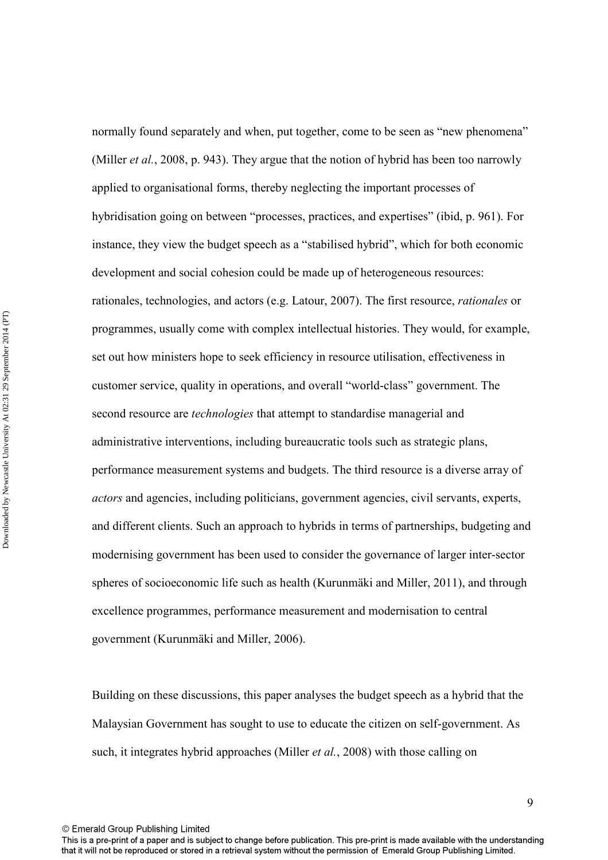normally found separately and when, put together, come to be seen as "new phenomena" (Miller *et al.*, 2008, p. 943). They argue that the notion of hybrid has been too narrowly applied to organisational forms, thereby neglecting the important processes of hybridisation going on between "processes, practices, and expertises" (ibid, p. 961). For instance, they view the budget speech as a "stabilised hybrid", which for both economic development and social cohesion could be made up of heterogeneous resources: rationales, technologies, and actors (e.g. Latour, 2007). The first resource, *rationales* or programmes, usually come with complex intellectual histories. They would, for example, set out how ministers hope to seek efficiency in resource utilisation, effectiveness in customer service, quality in operations, and overall "world-class" government. The second resource are *technologies* that attempt to standardise managerial and administrative interventions, including bureaucratic tools such as strategic plans, performance measurement systems and budgets. The third resource is a diverse array of *actors* and agencies, including politicians, government agencies, civil servants, experts, and different clients. Such an approach to hybrids in terms of partnerships, budgeting and modernising government has been used to consider the governance of larger inter-sector spheres of socioeconomic life such as health (Kurunmäki and Miller, 2011), and through excellence programmes, performance measurement and modernisation to central government (Kurunmäki and Miller, 2006).

Building on these discussions, this paper analyses the budget speech as a hybrid that the Malaysian Government has sought to use to educate the citizen on self-government. As such, it integrates hybrid approaches (Miller *et al.*, 2008) with those calling on

This is a pre-print of a paper and is subject to change before publication. This pre-print is made available with the understanding that it will not be reproduced or stored in a retrieval system without the permission of Emerald Group Publishing Limited.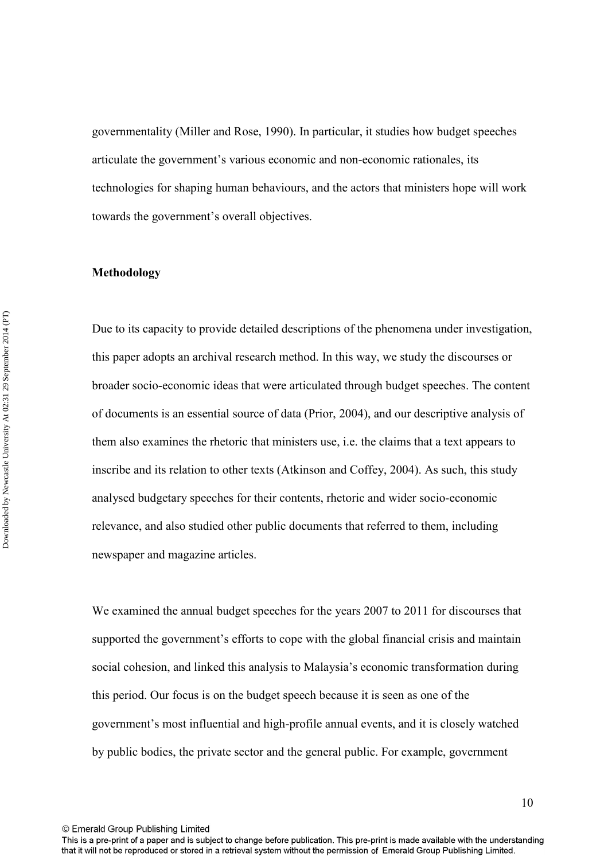governmentality (Miller and Rose, 1990). In particular, it studies how budget speeches articulate the government's various economic and non-economic rationales, its technologies for shaping human behaviours, and the actors that ministers hope will work towards the government's overall objectives.

#### **Methodology**

Due to its capacity to provide detailed descriptions of the phenomena under investigation, this paper adopts an archival research method. In this way, we study the discourses or broader socio-economic ideas that were articulated through budget speeches. The content of documents is an essential source of data (Prior, 2004), and our descriptive analysis of them also examines the rhetoric that ministers use, i.e. the claims that a text appears to inscribe and its relation to other texts (Atkinson and Coffey, 2004). As such, this study analysed budgetary speeches for their contents, rhetoric and wider socio-economic relevance, and also studied other public documents that referred to them, including newspaper and magazine articles.

We examined the annual budget speeches for the years 2007 to 2011 for discourses that supported the government's efforts to cope with the global financial crisis and maintain social cohesion, and linked this analysis to Malaysia's economic transformation during this period. Our focus is on the budget speech because it is seen as one of the government's most influential and high-profile annual events, and it is closely watched by public bodies, the private sector and the general public. For example, government

© Emerald Group Publishing Limited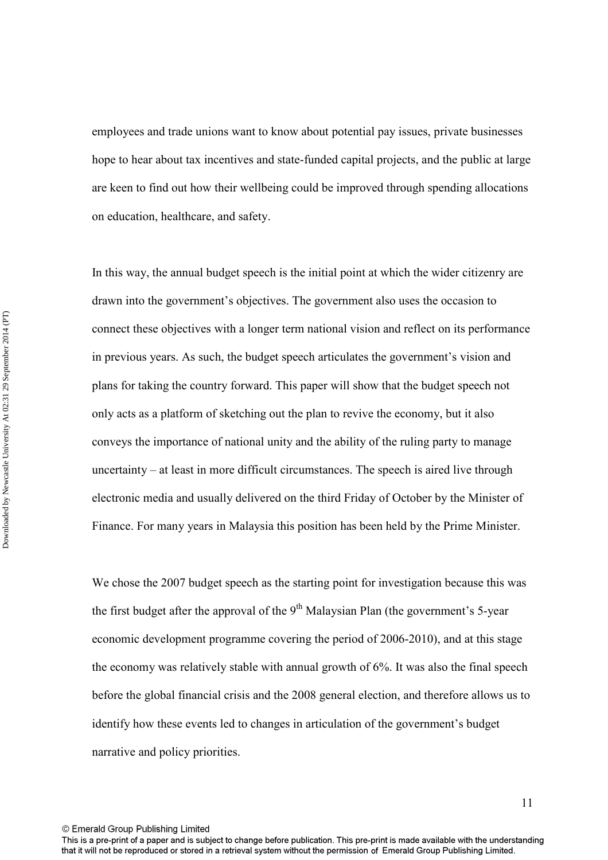employees and trade unions want to know about potential pay issues, private businesses hope to hear about tax incentives and state-funded capital projects, and the public at large are keen to find out how their wellbeing could be improved through spending allocations on education, healthcare, and safety.

In this way, the annual budget speech is the initial point at which the wider citizenry are drawn into the government's objectives. The government also uses the occasion to connect these objectives with a longer term national vision and reflect on its performance in previous years. As such, the budget speech articulates the government's vision and plans for taking the country forward. This paper will show that the budget speech not only acts as a platform of sketching out the plan to revive the economy, but it also conveys the importance of national unity and the ability of the ruling party to manage uncertainty – at least in more difficult circumstances. The speech is aired live through electronic media and usually delivered on the third Friday of October by the Minister of Finance. For many years in Malaysia this position has been held by the Prime Minister.

We chose the 2007 budget speech as the starting point for investigation because this was the first budget after the approval of the  $9<sup>th</sup>$  Malaysian Plan (the government's 5-year economic development programme covering the period of 2006-2010), and at this stage the economy was relatively stable with annual growth of 6%. It was also the final speech before the global financial crisis and the 2008 general election, and therefore allows us to identify how these events led to changes in articulation of the government's budget narrative and policy priorities.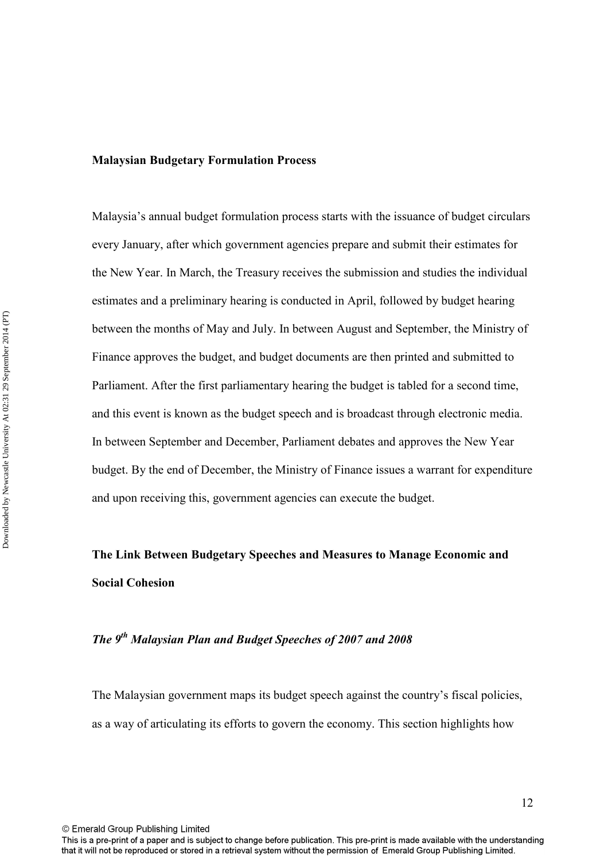#### **Malaysian Budgetary Formulation Process**

Malaysia's annual budget formulation process starts with the issuance of budget circulars every January, after which government agencies prepare and submit their estimates for the New Year. In March, the Treasury receives the submission and studies the individual estimates and a preliminary hearing is conducted in April, followed by budget hearing between the months of May and July. In between August and September, the Ministry of Finance approves the budget, and budget documents are then printed and submitted to Parliament. After the first parliamentary hearing the budget is tabled for a second time, and this event is known as the budget speech and is broadcast through electronic media. In between September and December, Parliament debates and approves the New Year budget. By the end of December, the Ministry of Finance issues a warrant for expenditure and upon receiving this, government agencies can execute the budget.

# **The Link Between Budgetary Speeches and Measures to Manage Economic and Social Cohesion**

## *The 9th Malaysian Plan and Budget Speeches of 2007 and 2008*

The Malaysian government maps its budget speech against the country's fiscal policies, as a way of articulating its efforts to govern the economy. This section highlights how

© Emerald Group Publishing Limited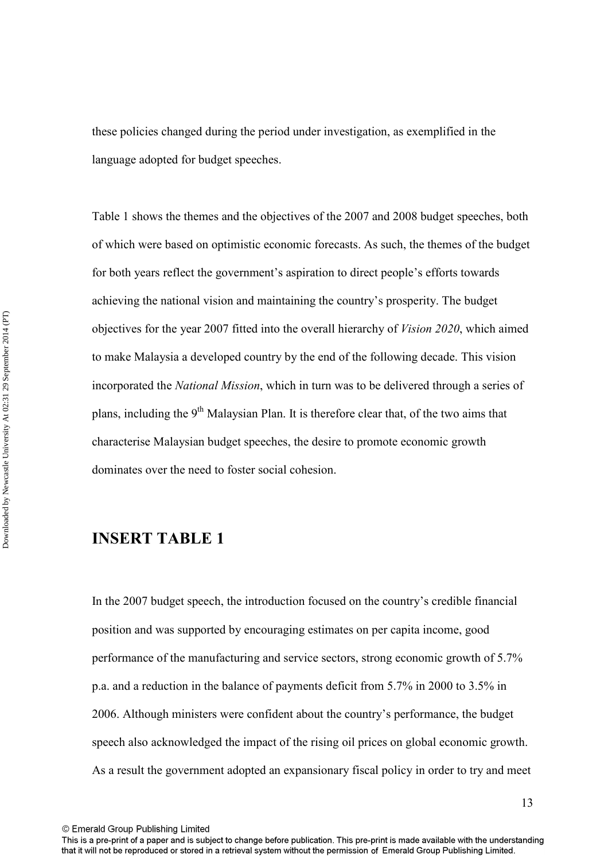these policies changed during the period under investigation, as exemplified in the language adopted for budget speeches.

Table 1 shows the themes and the objectives of the 2007 and 2008 budget speeches, both of which were based on optimistic economic forecasts. As such, the themes of the budget for both years reflect the government's aspiration to direct people's efforts towards achieving the national vision and maintaining the country's prosperity. The budget objectives for the year 2007 fitted into the overall hierarchy of *Vision 2020*, which aimed to make Malaysia a developed country by the end of the following decade. This vision incorporated the *National Mission*, which in turn was to be delivered through a series of plans, including the 9th Malaysian Plan. It is therefore clear that, of the two aims that characterise Malaysian budget speeches, the desire to promote economic growth dominates over the need to foster social cohesion.

## **INSERT TABLE 1**

In the 2007 budget speech, the introduction focused on the country's credible financial position and was supported by encouraging estimates on per capita income, good performance of the manufacturing and service sectors, strong economic growth of 5.7% p.a. and a reduction in the balance of payments deficit from 5.7% in 2000 to 3.5% in 2006. Although ministers were confident about the country's performance, the budget speech also acknowledged the impact of the rising oil prices on global economic growth. As a result the government adopted an expansionary fiscal policy in order to try and meet

This is a pre-print of a paper and is subject to change before publication. This pre-print is made available with the understanding that it will not be reproduced or stored in a retrieval system without the permission of Emerald Group Publishing Limited.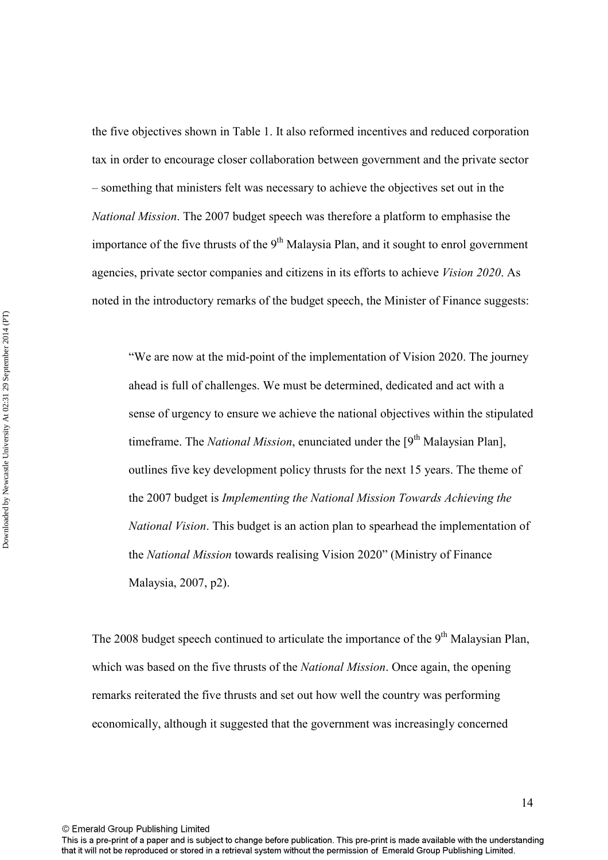the five objectives shown in Table 1. It also reformed incentives and reduced corporation tax in order to encourage closer collaboration between government and the private sector – something that ministers felt was necessary to achieve the objectives set out in the *National Mission*. The 2007 budget speech was therefore a platform to emphasise the importance of the five thrusts of the  $9<sup>th</sup>$  Malaysia Plan, and it sought to enrol government agencies, private sector companies and citizens in its efforts to achieve *Vision 2020*. As noted in the introductory remarks of the budget speech, the Minister of Finance suggests:

"We are now at the mid-point of the implementation of Vision 2020. The journey ahead is full of challenges. We must be determined, dedicated and act with a sense of urgency to ensure we achieve the national objectives within the stipulated timeframe. The *National Mission*, enunciated under the [9<sup>th</sup> Malaysian Plan], outlines five key development policy thrusts for the next 15 years. The theme of the 2007 budget is *Implementing the National Mission Towards Achieving the National Vision*. This budget is an action plan to spearhead the implementation of the *National Mission* towards realising Vision 2020" (Ministry of Finance Malaysia, 2007, p2).

The 2008 budget speech continued to articulate the importance of the  $9<sup>th</sup>$  Malaysian Plan, which was based on the five thrusts of the *National Mission*. Once again, the opening remarks reiterated the five thrusts and set out how well the country was performing economically, although it suggested that the government was increasingly concerned

This is a pre-print of a paper and is subject to change before publication. This pre-print is made available with the understanding that it will not be reproduced or stored in a retrieval system without the permission of Emerald Group Publishing Limited.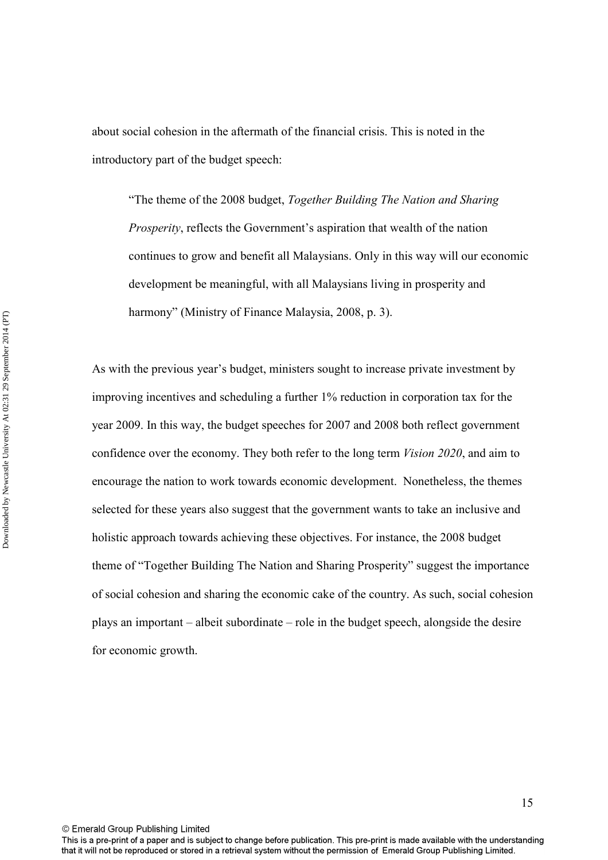about social cohesion in the aftermath of the financial crisis. This is noted in the introductory part of the budget speech:

"The theme of the 2008 budget, *Together Building The Nation and Sharing Prosperity*, reflects the Government's aspiration that wealth of the nation continues to grow and benefit all Malaysians. Only in this way will our economic development be meaningful, with all Malaysians living in prosperity and harmony" (Ministry of Finance Malaysia, 2008, p. 3).

As with the previous year's budget, ministers sought to increase private investment by improving incentives and scheduling a further 1% reduction in corporation tax for the year 2009. In this way, the budget speeches for 2007 and 2008 both reflect government confidence over the economy. They both refer to the long term *Vision 2020*, and aim to encourage the nation to work towards economic development. Nonetheless, the themes selected for these years also suggest that the government wants to take an inclusive and holistic approach towards achieving these objectives. For instance, the 2008 budget theme of "Together Building The Nation and Sharing Prosperity" suggest the importance of social cohesion and sharing the economic cake of the country. As such, social cohesion plays an important – albeit subordinate – role in the budget speech, alongside the desire for economic growth.

© Emerald Group Publishing Limited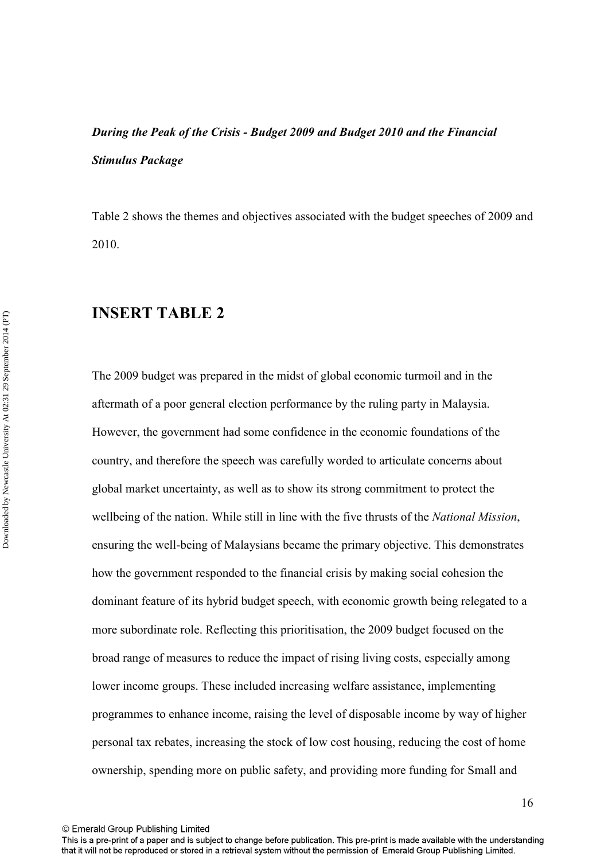# *During the Peak of the Crisis - Budget 2009 and Budget 2010 and the Financial Stimulus Package*

Table 2 shows the themes and objectives associated with the budget speeches of 2009 and 2010.

## **INSERT TABLE 2**

The 2009 budget was prepared in the midst of global economic turmoil and in the aftermath of a poor general election performance by the ruling party in Malaysia. However, the government had some confidence in the economic foundations of the country, and therefore the speech was carefully worded to articulate concerns about global market uncertainty, as well as to show its strong commitment to protect the wellbeing of the nation. While still in line with the five thrusts of the *National Mission*, ensuring the well-being of Malaysians became the primary objective. This demonstrates how the government responded to the financial crisis by making social cohesion the dominant feature of its hybrid budget speech, with economic growth being relegated to a more subordinate role. Reflecting this prioritisation, the 2009 budget focused on the broad range of measures to reduce the impact of rising living costs, especially among lower income groups. These included increasing welfare assistance, implementing programmes to enhance income, raising the level of disposable income by way of higher personal tax rebates, increasing the stock of low cost housing, reducing the cost of home ownership, spending more on public safety, and providing more funding for Small and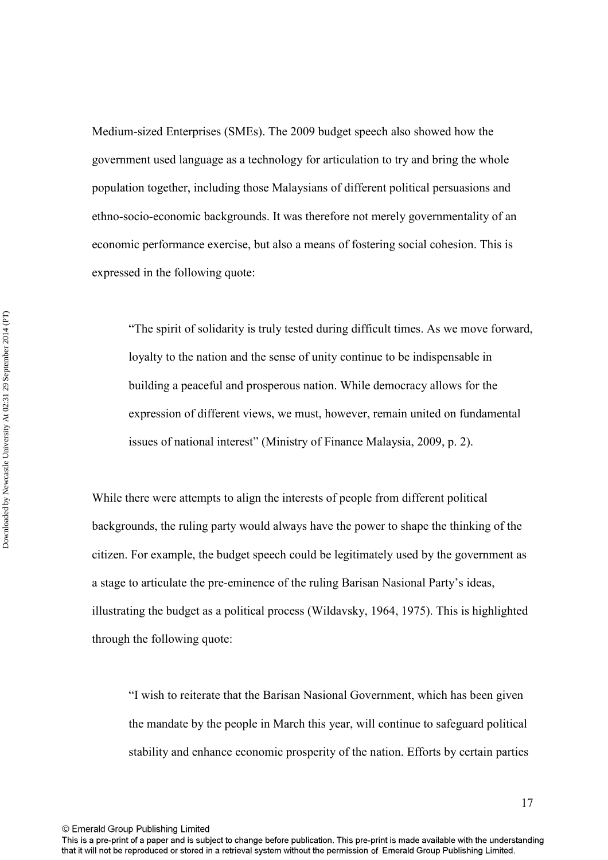Medium-sized Enterprises (SMEs). The 2009 budget speech also showed how the government used language as a technology for articulation to try and bring the whole population together, including those Malaysians of different political persuasions and ethno-socio-economic backgrounds. It was therefore not merely governmentality of an economic performance exercise, but also a means of fostering social cohesion. This is expressed in the following quote:

"The spirit of solidarity is truly tested during difficult times. As we move forward, loyalty to the nation and the sense of unity continue to be indispensable in building a peaceful and prosperous nation. While democracy allows for the expression of different views, we must, however, remain united on fundamental issues of national interest" (Ministry of Finance Malaysia, 2009, p. 2).

While there were attempts to align the interests of people from different political backgrounds, the ruling party would always have the power to shape the thinking of the citizen. For example, the budget speech could be legitimately used by the government as a stage to articulate the pre-eminence of the ruling Barisan Nasional Party's ideas, illustrating the budget as a political process (Wildavsky, 1964, 1975). This is highlighted through the following quote:

"I wish to reiterate that the Barisan Nasional Government, which has been given the mandate by the people in March this year, will continue to safeguard political stability and enhance economic prosperity of the nation. Efforts by certain parties

© Emerald Group Publishing Limited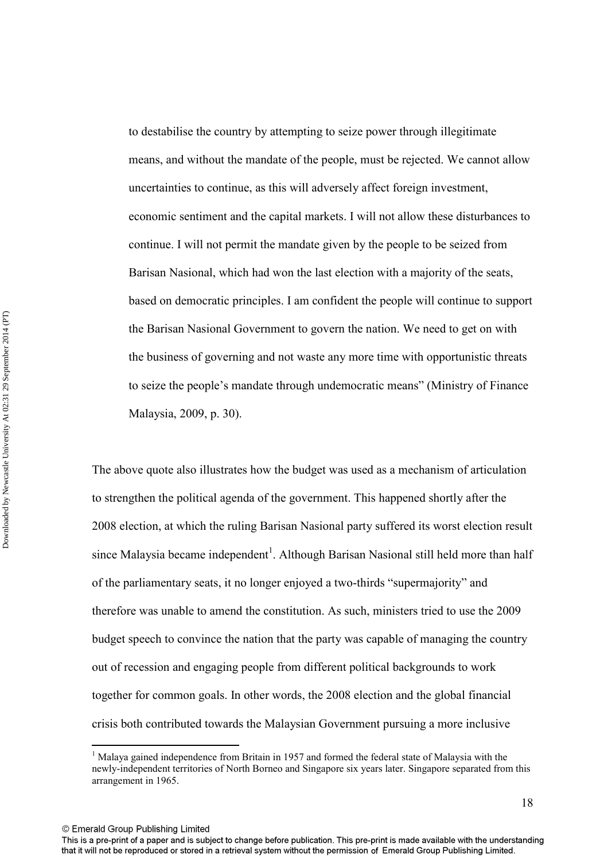to destabilise the country by attempting to seize power through illegitimate means, and without the mandate of the people, must be rejected. We cannot allow uncertainties to continue, as this will adversely affect foreign investment, economic sentiment and the capital markets. I will not allow these disturbances to continue. I will not permit the mandate given by the people to be seized from Barisan Nasional, which had won the last election with a majority of the seats, based on democratic principles. I am confident the people will continue to support the Barisan Nasional Government to govern the nation. We need to get on with the business of governing and not waste any more time with opportunistic threats to seize the people's mandate through undemocratic means" (Ministry of Finance Malaysia, 2009, p. 30).

The above quote also illustrates how the budget was used as a mechanism of articulation to strengthen the political agenda of the government. This happened shortly after the 2008 election, at which the ruling Barisan Nasional party suffered its worst election result since Malaysia became independent<sup>1</sup>. Although Barisan Nasional still held more than half of the parliamentary seats, it no longer enjoyed a two-thirds "supermajority" and therefore was unable to amend the constitution. As such, ministers tried to use the 2009 budget speech to convince the nation that the party was capable of managing the country out of recession and engaging people from different political backgrounds to work together for common goals. In other words, the 2008 election and the global financial crisis both contributed towards the Malaysian Government pursuing a more inclusive

© Emerald Group Publishing Limited

 $\overline{a}$ 

<sup>&</sup>lt;sup>1</sup> Malaya gained independence from Britain in 1957 and formed the federal state of Malaysia with the newly-independent territories of North Borneo and Singapore six years later. Singapore separated from this arrangement in 1965.

This is a pre-print of a paper and is subject to change before publication. This pre-print is made available with the understanding that it will not be reproduced or stored in a retrieval system without the permission of Emerald Group Publishing Limited.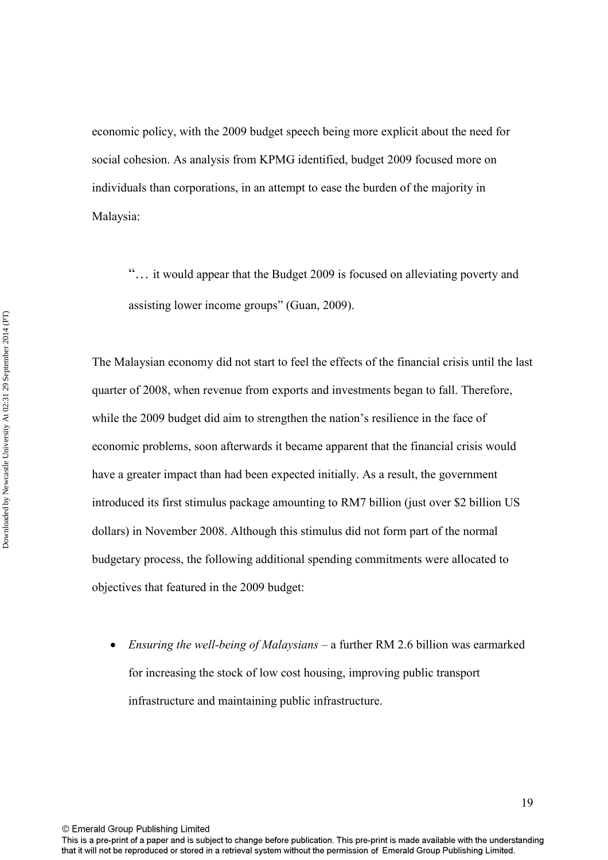economic policy, with the 2009 budget speech being more explicit about the need for social cohesion. As analysis from KPMG identified, budget 2009 focused more on individuals than corporations, in an attempt to ease the burden of the majority in Malaysia:

"… it would appear that the Budget 2009 is focused on alleviating poverty and assisting lower income groups" (Guan, 2009).

The Malaysian economy did not start to feel the effects of the financial crisis until the last quarter of 2008, when revenue from exports and investments began to fall. Therefore, while the 2009 budget did aim to strengthen the nation's resilience in the face of economic problems, soon afterwards it became apparent that the financial crisis would have a greater impact than had been expected initially. As a result, the government introduced its first stimulus package amounting to RM7 billion (just over \$2 billion US dollars) in November 2008. Although this stimulus did not form part of the normal budgetary process, the following additional spending commitments were allocated to objectives that featured in the 2009 budget:

• *Ensuring the well-being of Malaysians –* a further RM 2.6 billion was earmarked for increasing the stock of low cost housing, improving public transport infrastructure and maintaining public infrastructure.

This is a pre-print of a paper and is subject to change before publication. This pre-print is made available with the understanding that it will not be reproduced or stored in a retrieval system without the permission of Emerald Group Publishing Limited.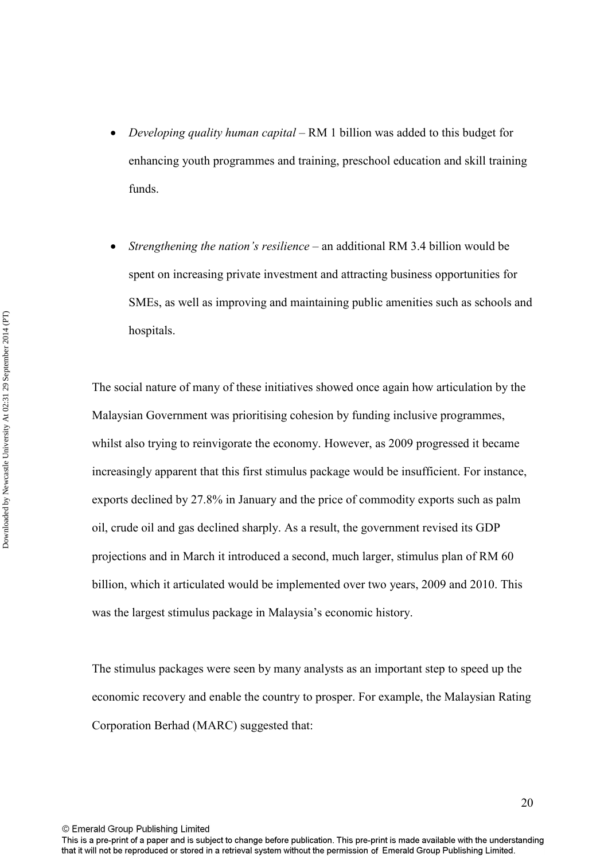- *Developing quality human capital –* RM 1 billion was added to this budget for enhancing youth programmes and training, preschool education and skill training funds.
- *Strengthening the nation's resilience*  an additional RM 3.4 billion would be spent on increasing private investment and attracting business opportunities for SMEs, as well as improving and maintaining public amenities such as schools and hospitals.

The social nature of many of these initiatives showed once again how articulation by the Malaysian Government was prioritising cohesion by funding inclusive programmes, whilst also trying to reinvigorate the economy. However, as 2009 progressed it became increasingly apparent that this first stimulus package would be insufficient. For instance, exports declined by 27.8% in January and the price of commodity exports such as palm oil, crude oil and gas declined sharply. As a result, the government revised its GDP projections and in March it introduced a second, much larger, stimulus plan of RM 60 billion, which it articulated would be implemented over two years, 2009 and 2010. This was the largest stimulus package in Malaysia's economic history.

The stimulus packages were seen by many analysts as an important step to speed up the economic recovery and enable the country to prosper. For example, the Malaysian Rating Corporation Berhad (MARC) suggested that:

© Emerald Group Publishing Limited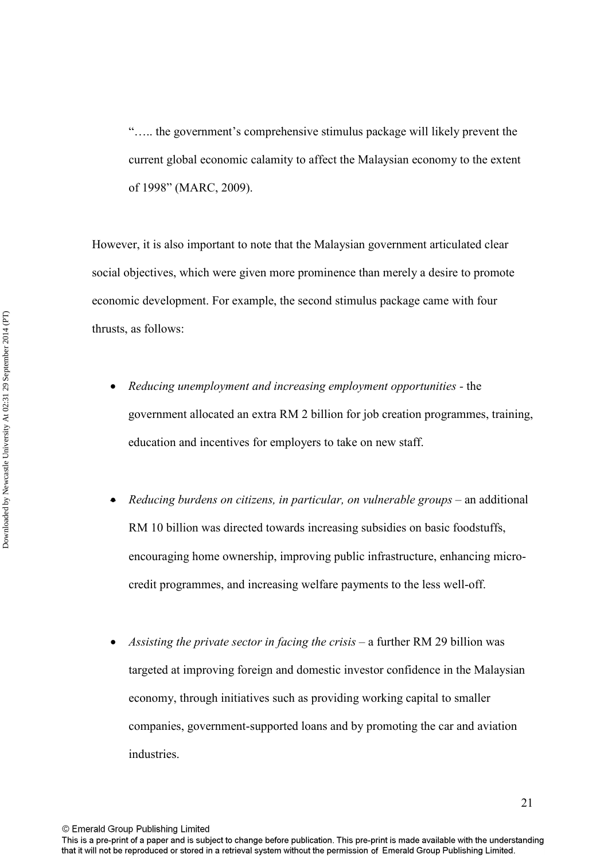"….. the government's comprehensive stimulus package will likely prevent the current global economic calamity to affect the Malaysian economy to the extent of 1998" (MARC, 2009).

However, it is also important to note that the Malaysian government articulated clear social objectives, which were given more prominence than merely a desire to promote economic development. For example, the second stimulus package came with four thrusts, as follows:

- *Reducing unemployment and increasing employment opportunities* the government allocated an extra RM 2 billion for job creation programmes, training, education and incentives for employers to take on new staff.
- *Reducing burdens on citizens, in particular, on vulnerable groups* an additional RM 10 billion was directed towards increasing subsidies on basic foodstuffs, encouraging home ownership, improving public infrastructure, enhancing microcredit programmes, and increasing welfare payments to the less well-off.
- *Assisting the private sector in facing the crisis*  a further RM 29 billion was targeted at improving foreign and domestic investor confidence in the Malaysian economy, through initiatives such as providing working capital to smaller companies, government-supported loans and by promoting the car and aviation industries.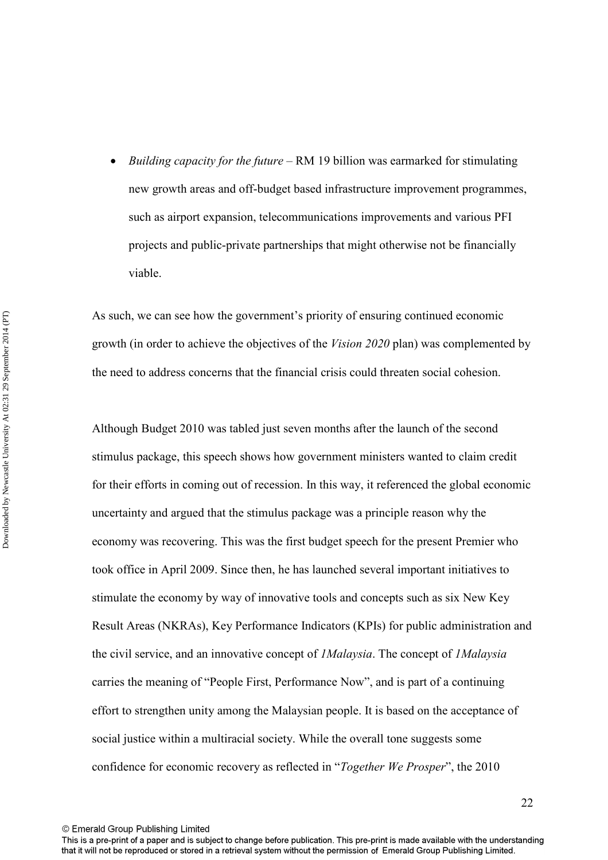• *Building capacity for the future* – RM 19 billion was earmarked for stimulating new growth areas and off-budget based infrastructure improvement programmes, such as airport expansion, telecommunications improvements and various PFI projects and public-private partnerships that might otherwise not be financially viable.

As such, we can see how the government's priority of ensuring continued economic growth (in order to achieve the objectives of the *Vision 2020* plan) was complemented by the need to address concerns that the financial crisis could threaten social cohesion.

Although Budget 2010 was tabled just seven months after the launch of the second stimulus package, this speech shows how government ministers wanted to claim credit for their efforts in coming out of recession. In this way, it referenced the global economic uncertainty and argued that the stimulus package was a principle reason why the economy was recovering. This was the first budget speech for the present Premier who took office in April 2009. Since then, he has launched several important initiatives to stimulate the economy by way of innovative tools and concepts such as six New Key Result Areas (NKRAs), Key Performance Indicators (KPIs) for public administration and the civil service, and an innovative concept of *1Malaysia*. The concept of *1Malaysia* carries the meaning of "People First, Performance Now", and is part of a continuing effort to strengthen unity among the Malaysian people. It is based on the acceptance of social justice within a multiracial society. While the overall tone suggests some confidence for economic recovery as reflected in "*Together We Prosper*", the 2010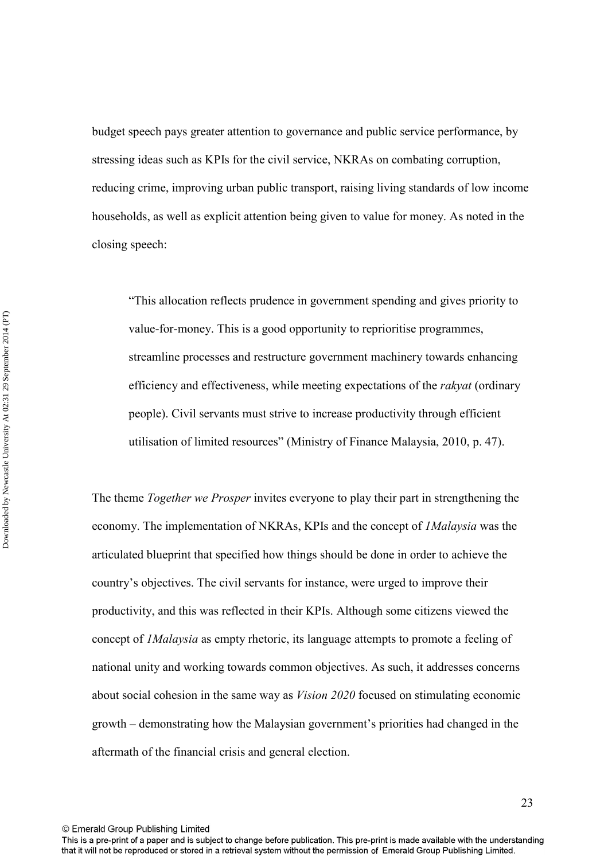budget speech pays greater attention to governance and public service performance, by stressing ideas such as KPIs for the civil service, NKRAs on combating corruption, reducing crime, improving urban public transport, raising living standards of low income households, as well as explicit attention being given to value for money. As noted in the closing speech:

"This allocation reflects prudence in government spending and gives priority to value-for-money. This is a good opportunity to reprioritise programmes, streamline processes and restructure government machinery towards enhancing efficiency and effectiveness, while meeting expectations of the *rakyat* (ordinary people). Civil servants must strive to increase productivity through efficient utilisation of limited resources" (Ministry of Finance Malaysia, 2010, p. 47).

The theme *Together we Prosper* invites everyone to play their part in strengthening the economy. The implementation of NKRAs, KPIs and the concept of *1Malaysia* was the articulated blueprint that specified how things should be done in order to achieve the country's objectives. The civil servants for instance, were urged to improve their productivity, and this was reflected in their KPIs. Although some citizens viewed the concept of *1Malaysia* as empty rhetoric, its language attempts to promote a feeling of national unity and working towards common objectives. As such, it addresses concerns about social cohesion in the same way as *Vision 2020* focused on stimulating economic growth – demonstrating how the Malaysian government's priorities had changed in the aftermath of the financial crisis and general election.

© Emerald Group Publishing Limited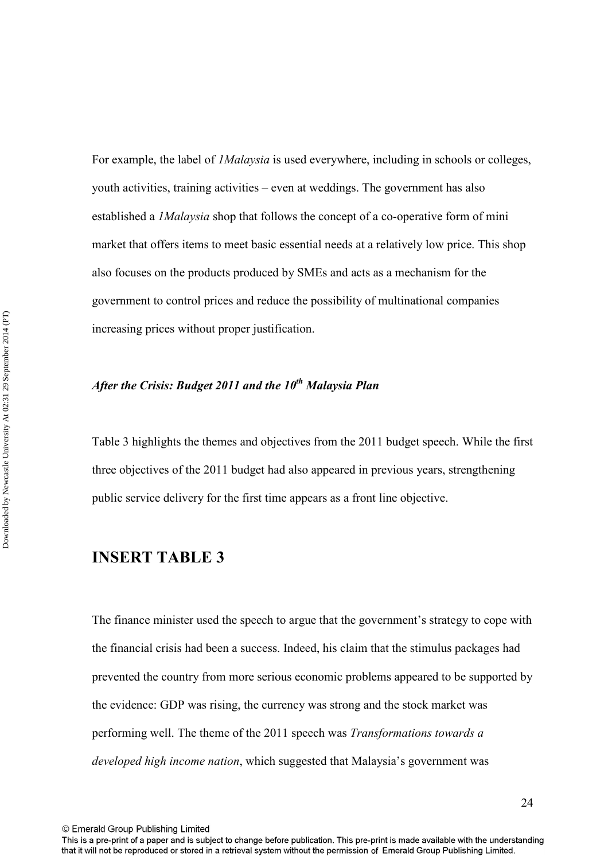For example, the label of *1Malaysia* is used everywhere, including in schools or colleges, youth activities, training activities – even at weddings. The government has also established a *1Malaysia* shop that follows the concept of a co-operative form of mini market that offers items to meet basic essential needs at a relatively low price. This shop also focuses on the products produced by SMEs and acts as a mechanism for the government to control prices and reduce the possibility of multinational companies increasing prices without proper justification.

## *After the Crisis: Budget 2011 and the 10th Malaysia Plan*

Table 3 highlights the themes and objectives from the 2011 budget speech. While the first three objectives of the 2011 budget had also appeared in previous years, strengthening public service delivery for the first time appears as a front line objective.

## **INSERT TABLE 3**

The finance minister used the speech to argue that the government's strategy to cope with the financial crisis had been a success. Indeed, his claim that the stimulus packages had prevented the country from more serious economic problems appeared to be supported by the evidence: GDP was rising, the currency was strong and the stock market was performing well. The theme of the 2011 speech was *Transformations towards a developed high income nation*, which suggested that Malaysia's government was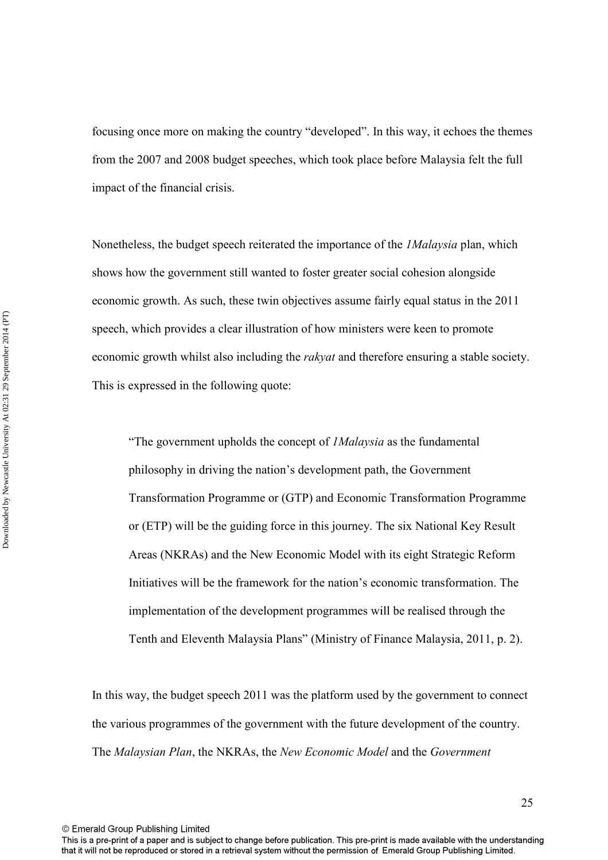focusing once more on making the country "developed". In this way, it echoes the themes from the 2007 and 2008 budget speeches, which took place before Malaysia felt the full impact of the financial crisis.

Nonetheless, the budget speech reiterated the importance of the *1Malaysia* plan, which shows how the government still wanted to foster greater social cohesion alongside economic growth. As such, these twin objectives assume fairly equal status in the 2011 speech, which provides a clear illustration of how ministers were keen to promote economic growth whilst also including the *rakyat* and therefore ensuring a stable society. This is expressed in the following quote:

"The government upholds the concept of *1Malaysia* as the fundamental philosophy in driving the nation's development path, the Government Transformation Programme or (GTP) and Economic Transformation Programme or (ETP) will be the guiding force in this journey. The six National Key Result Areas (NKRAs) and the New Economic Model with its eight Strategic Reform Initiatives will be the framework for the nation's economic transformation. The implementation of the development programmes will be realised through the Tenth and Eleventh Malaysia Plans" (Ministry of Finance Malaysia, 2011, p. 2).

In this way, the budget speech 2011 was the platform used by the government to connect the various programmes of the government with the future development of the country. The *Malaysian Plan*, the NKRAs, the *New Economic Model* and the *Government* 

© Emerald Group Publishing Limited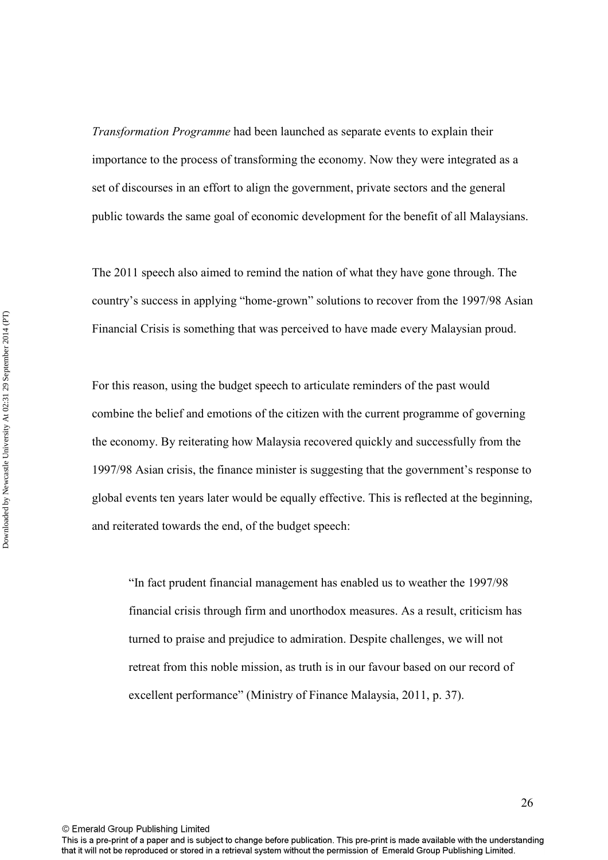*Transformation Programme* had been launched as separate events to explain their importance to the process of transforming the economy. Now they were integrated as a set of discourses in an effort to align the government, private sectors and the general public towards the same goal of economic development for the benefit of all Malaysians.

The 2011 speech also aimed to remind the nation of what they have gone through. The country's success in applying "home-grown" solutions to recover from the 1997/98 Asian Financial Crisis is something that was perceived to have made every Malaysian proud.

For this reason, using the budget speech to articulate reminders of the past would combine the belief and emotions of the citizen with the current programme of governing the economy. By reiterating how Malaysia recovered quickly and successfully from the 1997/98 Asian crisis, the finance minister is suggesting that the government's response to global events ten years later would be equally effective. This is reflected at the beginning, and reiterated towards the end, of the budget speech:

"In fact prudent financial management has enabled us to weather the 1997/98 financial crisis through firm and unorthodox measures. As a result, criticism has turned to praise and prejudice to admiration. Despite challenges, we will not retreat from this noble mission, as truth is in our favour based on our record of excellent performance" (Ministry of Finance Malaysia, 2011, p. 37).

© Emerald Group Publishing Limited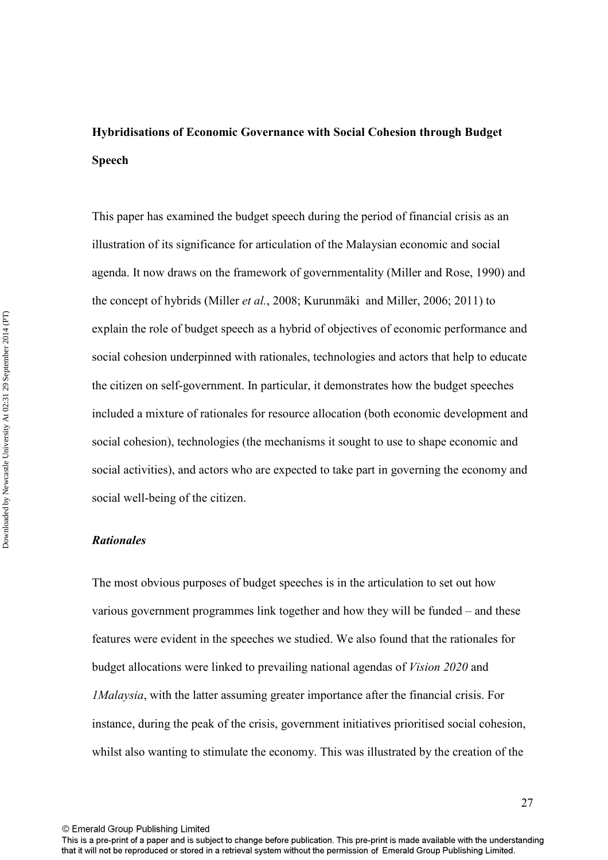# **Hybridisations of Economic Governance with Social Cohesion through Budget Speech**

This paper has examined the budget speech during the period of financial crisis as an illustration of its significance for articulation of the Malaysian economic and social agenda. It now draws on the framework of governmentality (Miller and Rose, 1990) and the concept of hybrids (Miller *et al.*, 2008; Kurunmäki and Miller, 2006; 2011) to explain the role of budget speech as a hybrid of objectives of economic performance and social cohesion underpinned with rationales, technologies and actors that help to educate the citizen on self-government. In particular, it demonstrates how the budget speeches included a mixture of rationales for resource allocation (both economic development and social cohesion), technologies (the mechanisms it sought to use to shape economic and social activities), and actors who are expected to take part in governing the economy and social well-being of the citizen.

## *Rationales*

The most obvious purposes of budget speeches is in the articulation to set out how various government programmes link together and how they will be funded – and these features were evident in the speeches we studied. We also found that the rationales for budget allocations were linked to prevailing national agendas of *Vision 2020* and *1Malaysia*, with the latter assuming greater importance after the financial crisis. For instance, during the peak of the crisis, government initiatives prioritised social cohesion, whilst also wanting to stimulate the economy. This was illustrated by the creation of the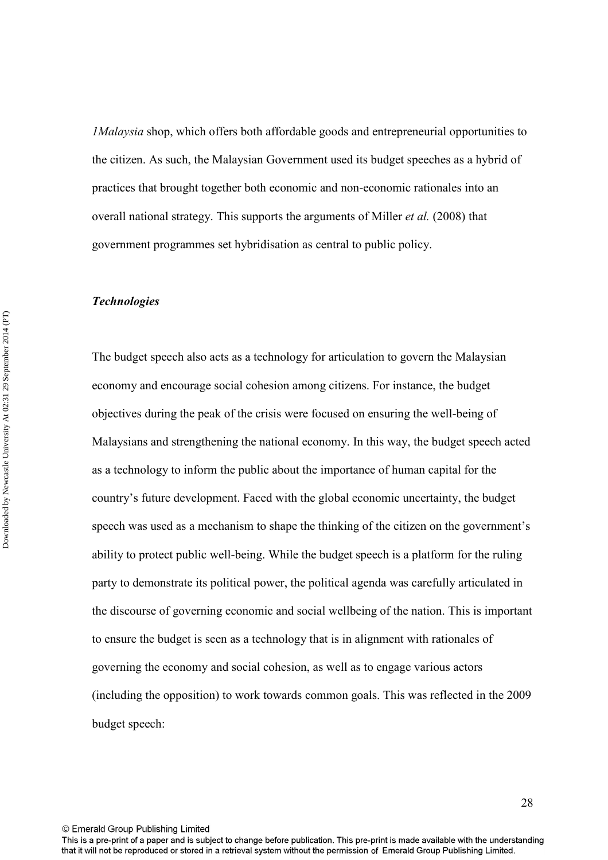*1Malaysia* shop, which offers both affordable goods and entrepreneurial opportunities to the citizen. As such, the Malaysian Government used its budget speeches as a hybrid of practices that brought together both economic and non-economic rationales into an overall national strategy. This supports the arguments of Miller *et al.* (2008) that government programmes set hybridisation as central to public policy.

#### *Technologies*

The budget speech also acts as a technology for articulation to govern the Malaysian economy and encourage social cohesion among citizens. For instance, the budget objectives during the peak of the crisis were focused on ensuring the well-being of Malaysians and strengthening the national economy. In this way, the budget speech acted as a technology to inform the public about the importance of human capital for the country's future development. Faced with the global economic uncertainty, the budget speech was used as a mechanism to shape the thinking of the citizen on the government's ability to protect public well-being. While the budget speech is a platform for the ruling party to demonstrate its political power, the political agenda was carefully articulated in the discourse of governing economic and social wellbeing of the nation. This is important to ensure the budget is seen as a technology that is in alignment with rationales of governing the economy and social cohesion, as well as to engage various actors (including the opposition) to work towards common goals. This was reflected in the 2009 budget speech: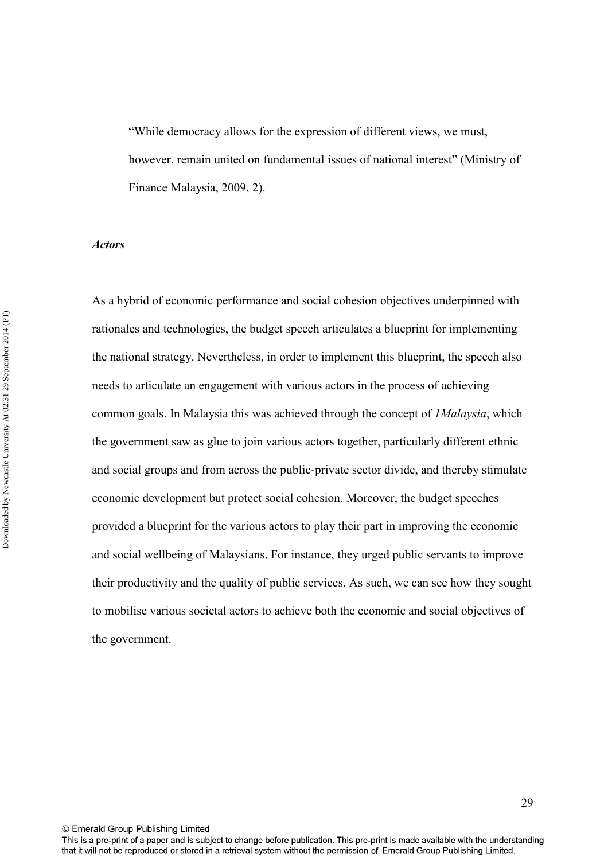"While democracy allows for the expression of different views, we must, however, remain united on fundamental issues of national interest" (Ministry of Finance Malaysia, 2009, 2).

#### *Actors*

As a hybrid of economic performance and social cohesion objectives underpinned with rationales and technologies, the budget speech articulates a blueprint for implementing the national strategy. Nevertheless, in order to implement this blueprint, the speech also needs to articulate an engagement with various actors in the process of achieving common goals. In Malaysia this was achieved through the concept of *1Malaysia*, which the government saw as glue to join various actors together, particularly different ethnic and social groups and from across the public-private sector divide, and thereby stimulate economic development but protect social cohesion. Moreover, the budget speeches provided a blueprint for the various actors to play their part in improving the economic and social wellbeing of Malaysians. For instance, they urged public servants to improve their productivity and the quality of public services. As such, we can see how they sought to mobilise various societal actors to achieve both the economic and social objectives of the government.

© Emerald Group Publishing Limited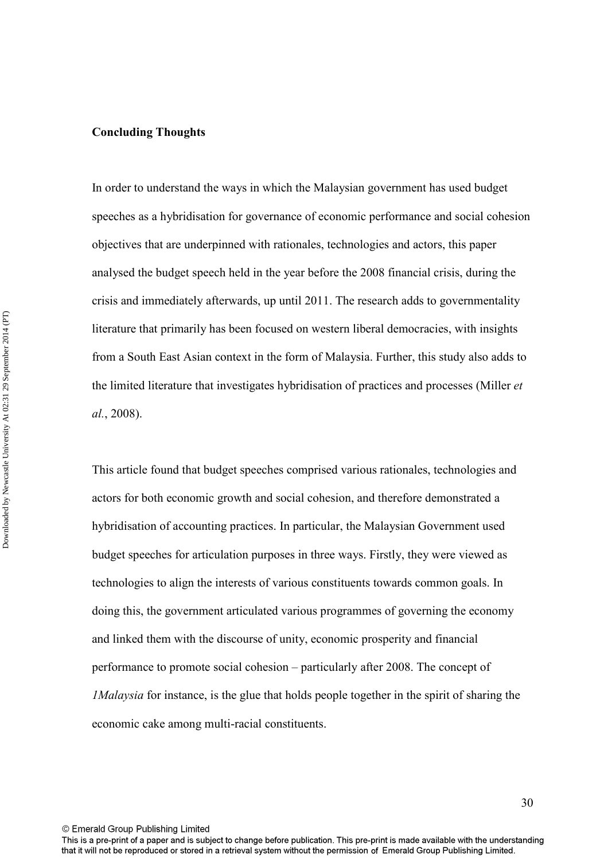#### **Concluding Thoughts**

In order to understand the ways in which the Malaysian government has used budget speeches as a hybridisation for governance of economic performance and social cohesion objectives that are underpinned with rationales, technologies and actors, this paper analysed the budget speech held in the year before the 2008 financial crisis, during the crisis and immediately afterwards, up until 2011. The research adds to governmentality literature that primarily has been focused on western liberal democracies, with insights from a South East Asian context in the form of Malaysia. Further, this study also adds to the limited literature that investigates hybridisation of practices and processes (Miller *et al.*, 2008).

This article found that budget speeches comprised various rationales, technologies and actors for both economic growth and social cohesion, and therefore demonstrated a hybridisation of accounting practices. In particular, the Malaysian Government used budget speeches for articulation purposes in three ways. Firstly, they were viewed as technologies to align the interests of various constituents towards common goals. In doing this, the government articulated various programmes of governing the economy and linked them with the discourse of unity, economic prosperity and financial performance to promote social cohesion – particularly after 2008. The concept of *1Malaysia* for instance, is the glue that holds people together in the spirit of sharing the economic cake among multi-racial constituents.

© Emerald Group Publishing Limited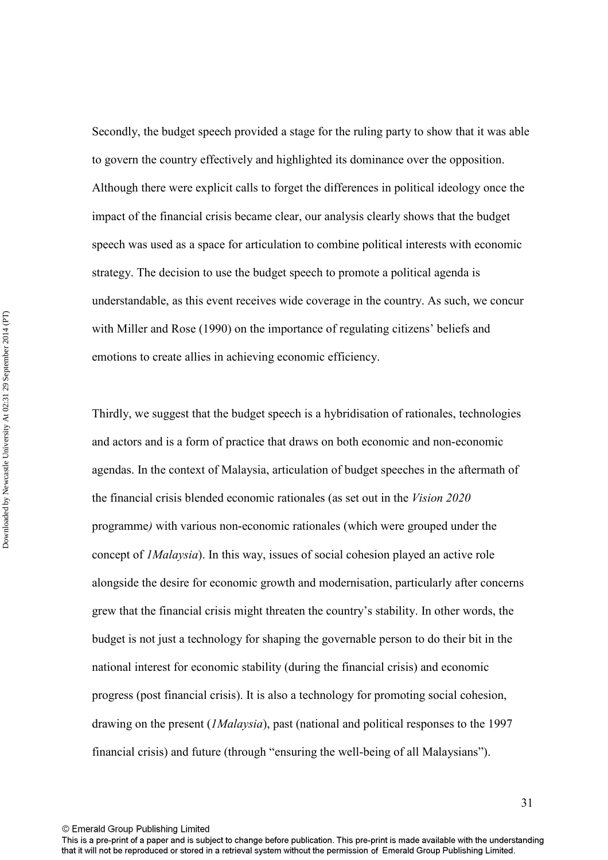Secondly, the budget speech provided a stage for the ruling party to show that it was able to govern the country effectively and highlighted its dominance over the opposition. Although there were explicit calls to forget the differences in political ideology once the impact of the financial crisis became clear, our analysis clearly shows that the budget speech was used as a space for articulation to combine political interests with economic strategy. The decision to use the budget speech to promote a political agenda is understandable, as this event receives wide coverage in the country. As such, we concur with Miller and Rose (1990) on the importance of regulating citizens' beliefs and emotions to create allies in achieving economic efficiency.

Thirdly, we suggest that the budget speech is a hybridisation of rationales, technologies and actors and is a form of practice that draws on both economic and non-economic agendas. In the context of Malaysia, articulation of budget speeches in the aftermath of the financial crisis blended economic rationales (as set out in the *Vision 2020*  programme*)* with various non-economic rationales (which were grouped under the concept of *1Malaysia*). In this way, issues of social cohesion played an active role alongside the desire for economic growth and modernisation, particularly after concerns grew that the financial crisis might threaten the country's stability. In other words, the budget is not just a technology for shaping the governable person to do their bit in the national interest for economic stability (during the financial crisis) and economic progress (post financial crisis). It is also a technology for promoting social cohesion, drawing on the present (*1Malaysia*), past (national and political responses to the 1997 financial crisis) and future (through "ensuring the well-being of all Malaysians").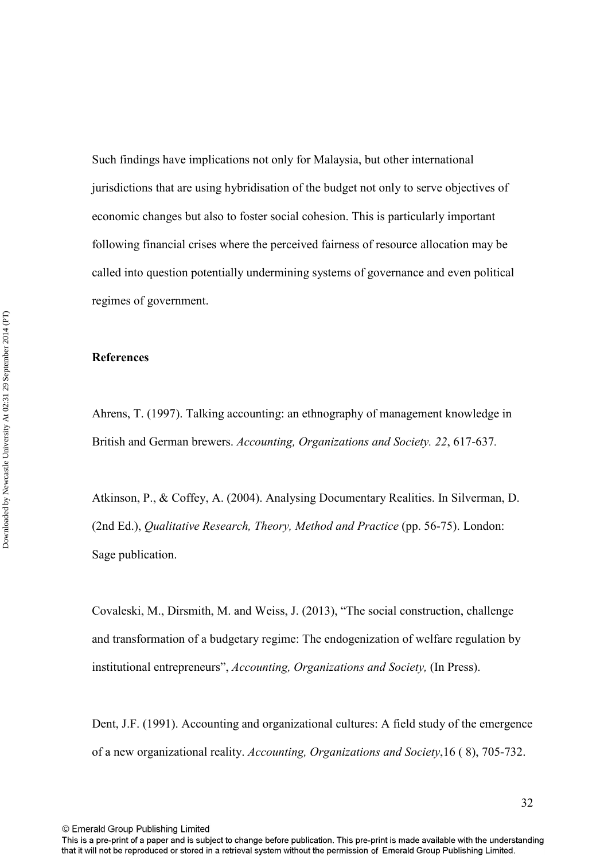Such findings have implications not only for Malaysia, but other international jurisdictions that are using hybridisation of the budget not only to serve objectives of economic changes but also to foster social cohesion. This is particularly important following financial crises where the perceived fairness of resource allocation may be called into question potentially undermining systems of governance and even political regimes of government.

## **References**

Ahrens, T. (1997). Talking accounting: an ethnography of management knowledge in British and German brewers. *Accounting, Organizations and Society. 22*, 617-637*.*

Atkinson, P., & Coffey, A. (2004). Analysing Documentary Realities. In Silverman, D. (2nd Ed.), *Qualitative Research, Theory, Method and Practice* (pp. 56-75). London: Sage publication.

Covaleski, M., Dirsmith, M. and Weiss, J. (2013), "The social construction, challenge and transformation of a budgetary regime: The endogenization of welfare regulation by institutional entrepreneurs", *Accounting, Organizations and Society,* (In Press).

Dent, J.F. (1991). Accounting and organizational cultures: A field study of the emergence of a new organizational reality. *Accounting, Organizations and Society*,16 ( 8), 705-732.

© Emerald Group Publishing Limited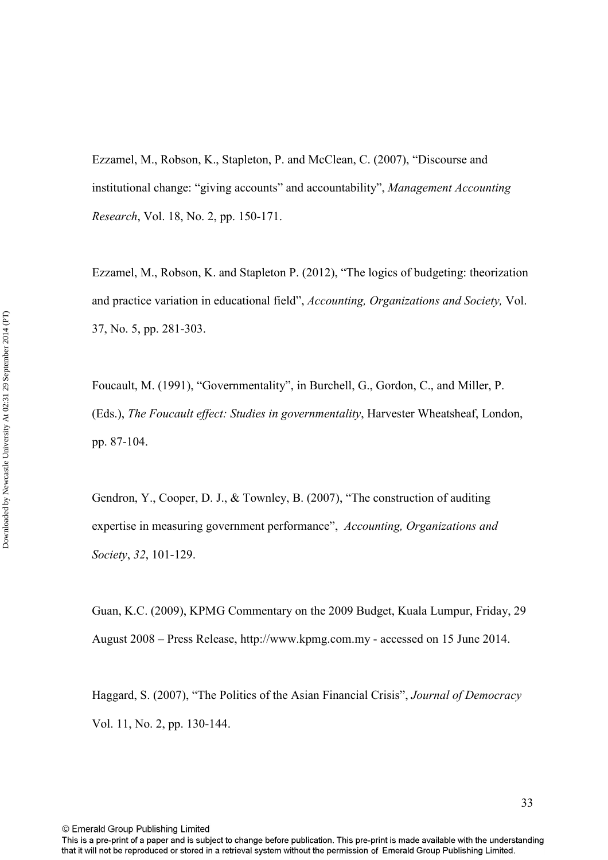Ezzamel, M., Robson, K., Stapleton, P. and McClean, C. (2007), "Discourse and institutional change: "giving accounts" and accountability", *Management Accounting Research*, Vol. 18, No. 2, pp. 150-171.

Ezzamel, M., Robson, K. and Stapleton P. (2012), "The logics of budgeting: theorization and practice variation in educational field", *Accounting, Organizations and Society,* Vol. 37, No. 5, pp. 281-303.

Foucault, M. (1991), "Governmentality", in Burchell, G., Gordon, C., and Miller, P. (Eds.), *The Foucault effect: Studies in governmentality*, Harvester Wheatsheaf, London, pp. 87-104.

Gendron, Y., Cooper, D. J., & Townley, B. (2007), "The construction of auditing expertise in measuring government performance", *Accounting, Organizations and Society*, *32*, 101-129.

Guan, K.C. (2009), KPMG Commentary on the 2009 Budget, Kuala Lumpur, Friday, 29 August 2008 – Press Release, http://www.kpmg.com.my - accessed on 15 June 2014.

Haggard, S. (2007), "The Politics of the Asian Financial Crisis", *Journal of Democracy*  Vol. 11, No. 2, pp. 130-144.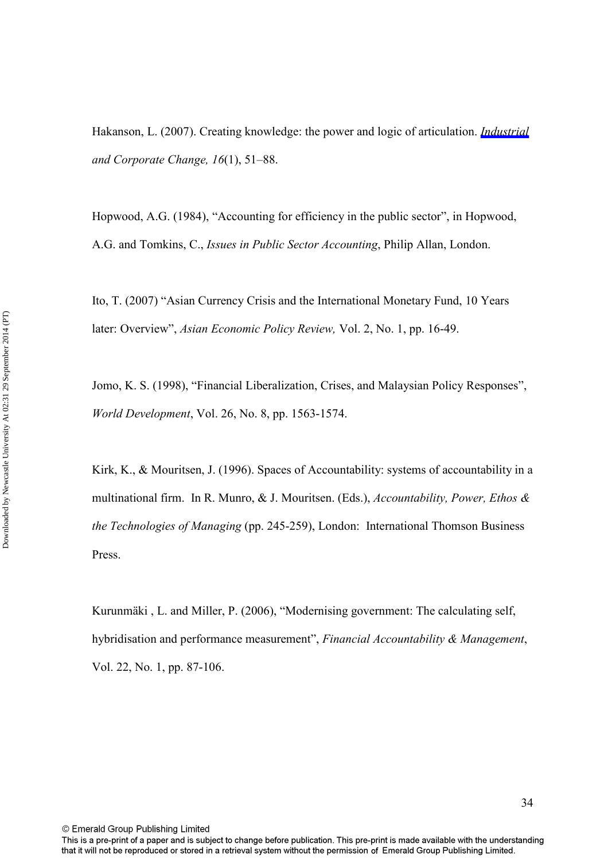Hakanson, L. (2007). Creating knowledge: the power and logic of articulation. *[Industrial](http://emerald-prod.literatumonline.com/action/showLinks?crossref=10.1093%2Ficc%2Fdtl033)  and Corporate Change, 16*(1), 51–88.

Hopwood, A.G. (1984), "Accounting for efficiency in the public sector", in Hopwood, A.G. and Tomkins, C., *Issues in Public Sector Accounting*, Philip Allan, London.

Ito, T. (2007) "Asian Currency Crisis and the International Monetary Fund, 10 Years later: Overview", *Asian Economic Policy Review,* Vol. 2, No. 1, pp. 16-49.

Jomo, K. S. (1998), "Financial Liberalization, Crises, and Malaysian Policy Responses", *World Development*, Vol. 26, No. 8, pp. 1563-1574.

Kirk, K., & Mouritsen, J. (1996). Spaces of Accountability: systems of accountability in a multinational firm. In R. Munro, & J. Mouritsen. (Eds.), *Accountability, Power, Ethos & the Technologies of Managing* (pp. 245-259), London: International Thomson Business Press.

Kurunmäki , L. and Miller, P. (2006), "Modernising government: The calculating self, hybridisation and performance measurement", *Financial Accountability & Management*, Vol. 22, No. 1, pp. 87-106.

This is a pre-print of a paper and is subject to change before publication. This pre-print is made available with the understanding that it will not be reproduced or stored in a retrieval system without the permission of Emerald Group Publishing Limited.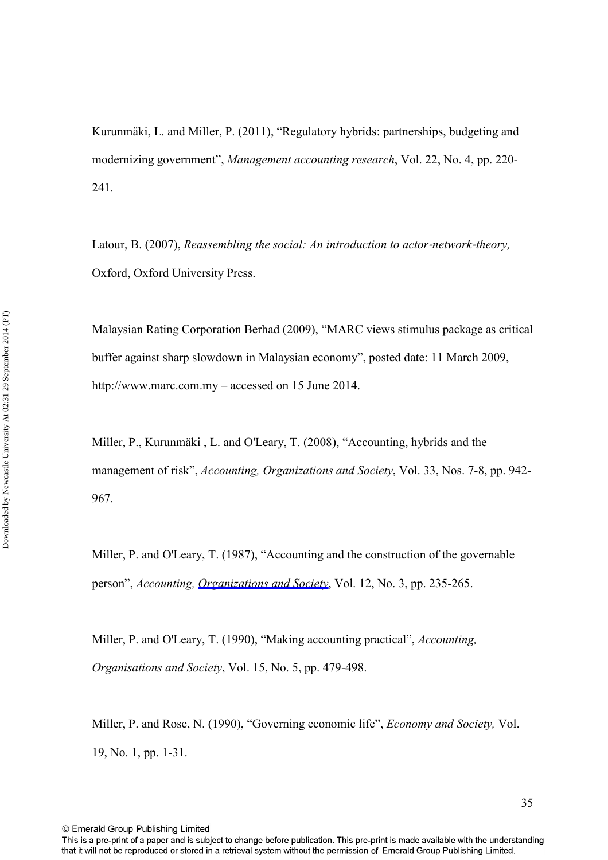Kurunmäki, L. and Miller, P. (2011), "Regulatory hybrids: partnerships, budgeting and modernizing government", *Management accounting research*, Vol. 22, No. 4, pp. 220- 241.

Latour, B. (2007), *Reassembling the social: An introduction to actor-network-theory*, Oxford, Oxford University Press.

Malaysian Rating Corporation Berhad (2009), "MARC views stimulus package as critical buffer against sharp slowdown in Malaysian economy", posted date: 11 March 2009, http://www.marc.com.my – accessed on 15 June 2014.

Miller, P., Kurunmäki , L. and O'Leary, T. (2008), "Accounting, hybrids and the management of risk", *Accounting, Organizations and Society*, Vol. 33, Nos. 7-8, pp. 942- 967.

Miller, P. and O'Leary, T. (1987), "Accounting and the construction of the governable person", *Accounting, [Organizations and Society](http://emerald-prod.literatumonline.com/action/showLinks?isi=A1987H790500002)*, Vol. 12, No. 3, pp. 235-265.

Miller, P. and O'Leary, T. (1990), "Making accounting practical", *Accounting, Organisations and Society*, Vol. 15, No. 5, pp. 479-498.

Miller, P. and Rose, N. (1990), "Governing economic life", *Economy and Society,* Vol. 19, No. 1, pp. 1-31.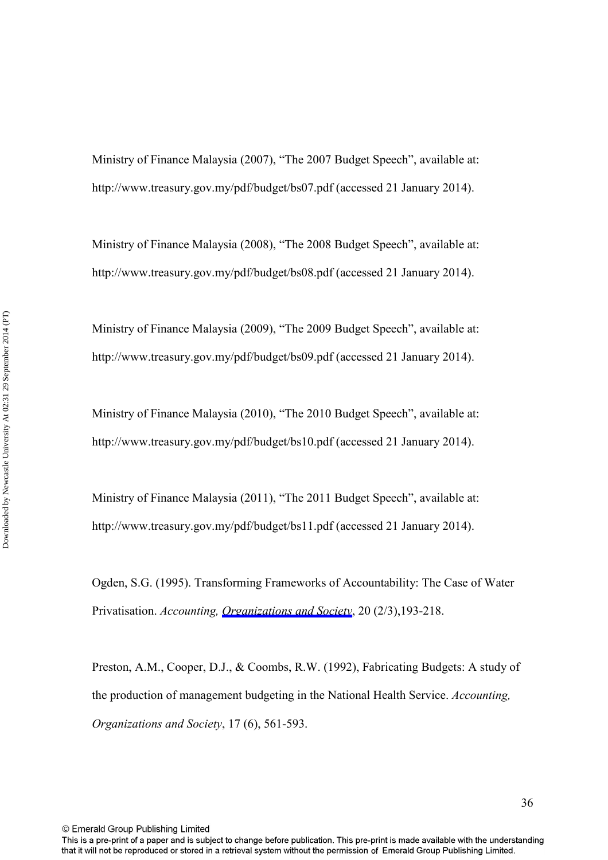Ministry of Finance Malaysia (2007), "The 2007 Budget Speech", available at: http://www.treasury.gov.my/pdf/budget/bs07.pdf (accessed 21 January 2014).

Ministry of Finance Malaysia (2008), "The 2008 Budget Speech", available at: http://www.treasury.gov.my/pdf/budget/bs08.pdf (accessed 21 January 2014).

Ministry of Finance Malaysia (2009), "The 2009 Budget Speech", available at: http://www.treasury.gov.my/pdf/budget/bs09.pdf (accessed 21 January 2014).

Ministry of Finance Malaysia (2010), "The 2010 Budget Speech", available at: http://www.treasury.gov.my/pdf/budget/bs10.pdf (accessed 21 January 2014).

Ministry of Finance Malaysia (2011), "The 2011 Budget Speech", available at: http://www.treasury.gov.my/pdf/budget/bs11.pdf (accessed 21 January 2014).

Ogden, S.G. (1995). Transforming Frameworks of Accountability: The Case of Water Privatisation. *Accounting, [Organizations and Society](http://emerald-prod.literatumonline.com/action/showLinks?isi=A1995QQ37800005)*, 20 (2/3),193-218.

Preston, A.M., Cooper, D.J., & Coombs, R.W. (1992), Fabricating Budgets: A study of the production of management budgeting in the National Health Service. *Accounting, Organizations and Society*, 17 (6), 561-593.

© Emerald Group Publishing Limited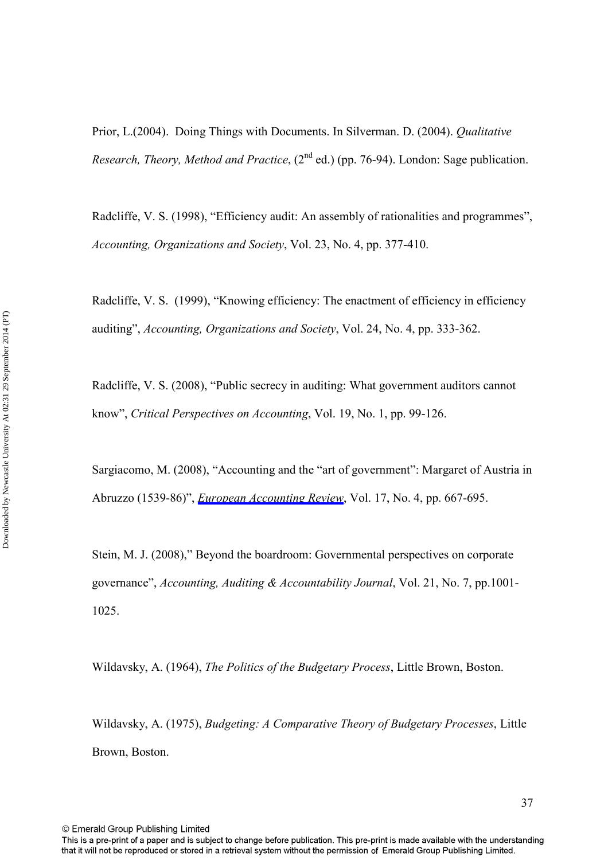Prior, L.(2004). Doing Things with Documents. In Silverman. D. (2004). *Qualitative Research, Theory, Method and Practice*, (2<sup>nd</sup> ed.) (pp. 76-94). London: Sage publication.

Radcliffe, V. S. (1998), "Efficiency audit: An assembly of rationalities and programmes", *Accounting, Organizations and Society*, Vol. 23, No. 4, pp. 377-410.

Radcliffe, V. S. (1999), "Knowing efficiency: The enactment of efficiency in efficiency auditing", *Accounting, Organizations and Society*, Vol. 24, No. 4, pp. 333-362.

Radcliffe, V. S. (2008), "Public secrecy in auditing: What government auditors cannot know", *Critical Perspectives on Accounting*, Vol. 19, No. 1, pp. 99-126.

Sargiacomo, M. (2008), "Accounting and the "art of government": Margaret of Austria in Abruzzo (1539-86)", *[European Accounting Review](http://emerald-prod.literatumonline.com/action/showLinks?isi=000261092800003)*, Vol. 17, No. 4, pp. 667-695.

Stein, M. J. (2008)," Beyond the boardroom: Governmental perspectives on corporate governance", *Accounting, Auditing & Accountability Journal*, Vol. 21, No. 7, pp.1001- 1025.

Wildavsky, A. (1964), *The Politics of the Budgetary Process*, Little Brown, Boston.

Wildavsky, A. (1975), *Budgeting: A Comparative Theory of Budgetary Processes*, Little Brown, Boston.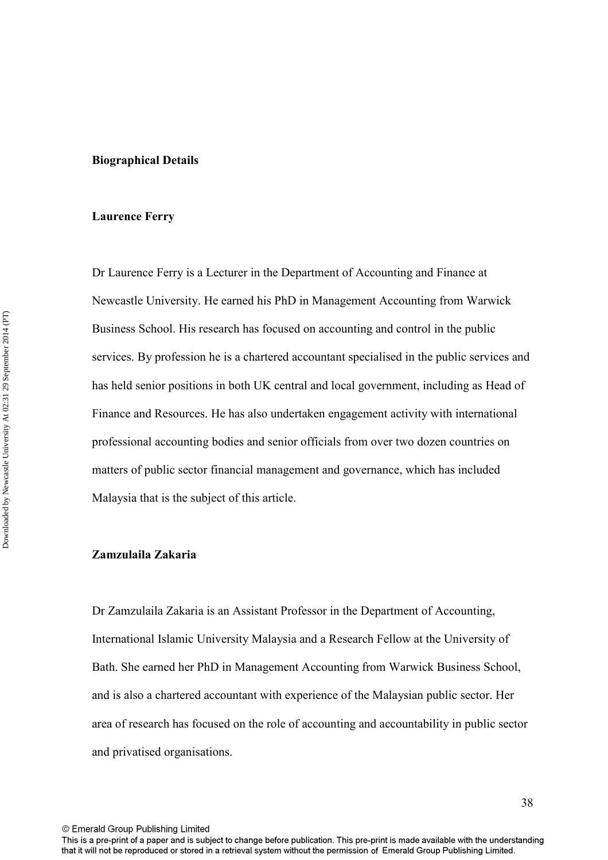#### **Biographical Details**

#### **Laurence Ferry**

Dr Laurence Ferry is a Lecturer in the Department of Accounting and Finance at Newcastle University. He earned his PhD in Management Accounting from Warwick Business School. His research has focused on accounting and control in the public services. By profession he is a chartered accountant specialised in the public services and has held senior positions in both UK central and local government, including as Head of Finance and Resources. He has also undertaken engagement activity with international professional accounting bodies and senior officials from over two dozen countries on matters of public sector financial management and governance, which has included Malaysia that is the subject of this article.

## **Zamzulaila Zakaria**

Dr Zamzulaila Zakaria is an Assistant Professor in the Department of Accounting, International Islamic University Malaysia and a Research Fellow at the University of Bath. She earned her PhD in Management Accounting from Warwick Business School, and is also a chartered accountant with experience of the Malaysian public sector. Her area of research has focused on the role of accounting and accountability in public sector and privatised organisations.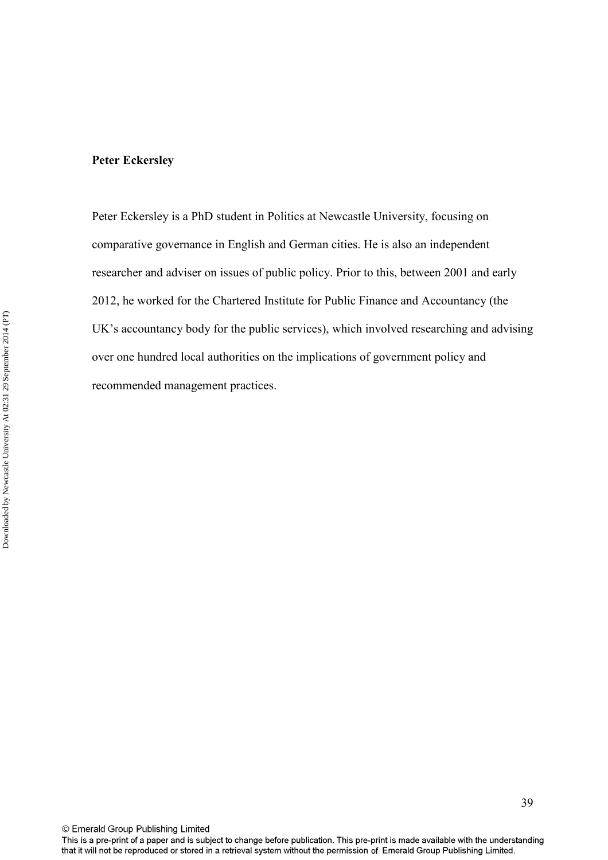Peter Eckersley is a PhD student in Politics at Newcastle University, focusing on comparative governance in English and German cities. He is also an independent researcher and adviser on issues of public policy. Prior to this, between 2001 and early 2012, he worked for the Chartered Institute for Public Finance and Accountancy (the UK's accountancy body for the public services), which involved researching and advising over one hundred local authorities on the implications of government policy and recommended management practices.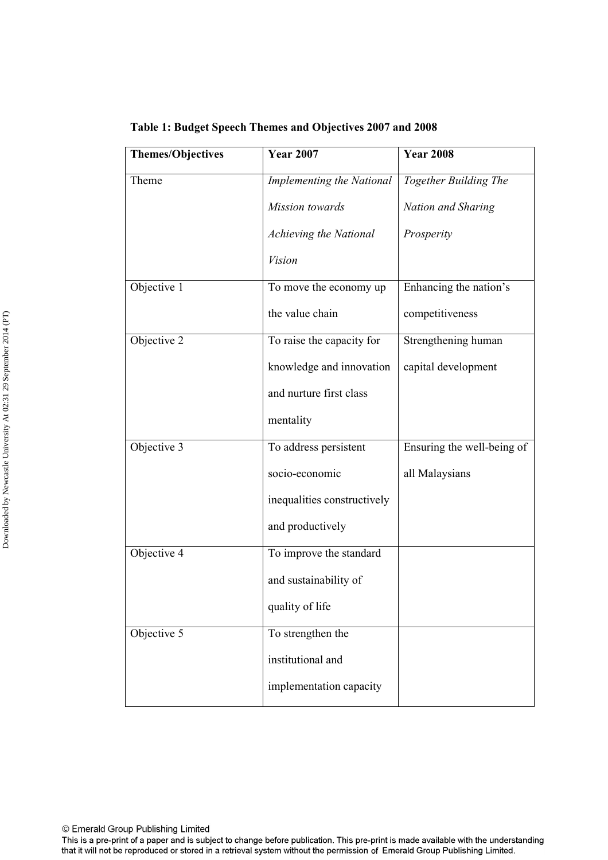| <b>Themes/Objectives</b> | <b>Year 2007</b>            | <b>Year 2008</b>           |
|--------------------------|-----------------------------|----------------------------|
| Theme                    | Implementing the National   | Together Building The      |
|                          | Mission towards             | Nation and Sharing         |
|                          | Achieving the National      | Prosperity                 |
|                          | <i>Vision</i>               |                            |
| Objective 1              | To move the economy up      | Enhancing the nation's     |
|                          | the value chain             | competitiveness            |
| Objective 2              | To raise the capacity for   | Strengthening human        |
|                          | knowledge and innovation    | capital development        |
|                          | and nurture first class     |                            |
|                          | mentality                   |                            |
| Objective 3              | To address persistent       | Ensuring the well-being of |
|                          | socio-economic              | all Malaysians             |
|                          | inequalities constructively |                            |
|                          | and productively            |                            |
| Objective 4              | To improve the standard     |                            |
|                          | and sustainability of       |                            |
|                          | quality of life             |                            |
| Objective 5              | To strengthen the           |                            |
|                          | institutional and           |                            |
|                          | implementation capacity     |                            |

**Table 1: Budget Speech Themes and Objectives 2007 and 2008** 

This is a pre-print of a paper and is subject to change before publication. This pre-print is made available with the understanding that it will not be reproduced or stored in a retrieval system without the permission of Emerald Group Publishing Limited.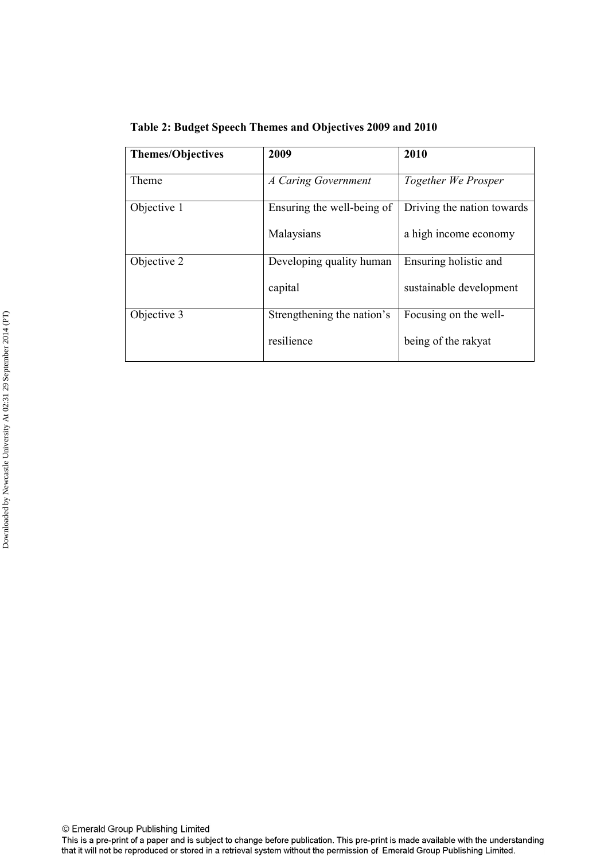**Table 2: Budget Speech Themes and Objectives 2009 and 2010** 

| <b>Themes/Objectives</b> | 2009                       | 2010                       |
|--------------------------|----------------------------|----------------------------|
|                          |                            |                            |
| Theme                    | A Caring Government        | Together We Prosper        |
| Objective 1              | Ensuring the well-being of | Driving the nation towards |
|                          | Malaysians                 | a high income economy      |
| Objective 2              | Developing quality human   | Ensuring holistic and      |
|                          | capital                    | sustainable development    |
| Objective 3              | Strengthening the nation's | Focusing on the well-      |
|                          | resilience                 | being of the rakyat        |

© Emerald Group Publishing Limited